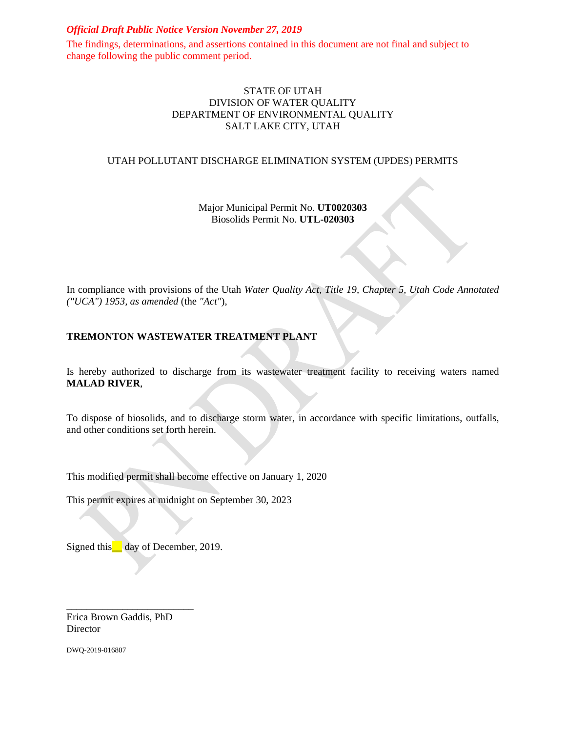#### *Official Draft Public Notice Version November 27, 2019*

The findings, determinations, and assertions contained in this document are not final and subject to change following the public comment period.

### STATE OF UTAH DIVISION OF WATER QUALITY DEPARTMENT OF ENVIRONMENTAL QUALITY SALT LAKE CITY, UTAH

#### UTAH POLLUTANT DISCHARGE ELIMINATION SYSTEM (UPDES) PERMITS

Major Municipal Permit No. **UT0020303** Biosolids Permit No. **UTL-020303**

In compliance with provisions of the Utah *Water Quality Act, Title 19, Chapter 5, Utah Code Annotated ("UCA") 1953, as amended* (the *"Act"*),

# **TREMONTON WASTEWATER TREATMENT PLANT**

Is hereby authorized to discharge from its wastewater treatment facility to receiving waters named **MALAD RIVER**,

To dispose of biosolids, and to discharge storm water, in accordance with specific limitations, outfalls, and other conditions set forth herein.

This modified permit shall become effective on January 1, 2020

This permit expires at midnight on September 30, 2023

Signed this day of December, 2019.

Erica Brown Gaddis, PhD **Director** 

\_\_\_\_\_\_\_\_\_\_\_\_\_\_\_\_\_\_\_\_\_\_\_\_\_

DWQ-2019-016807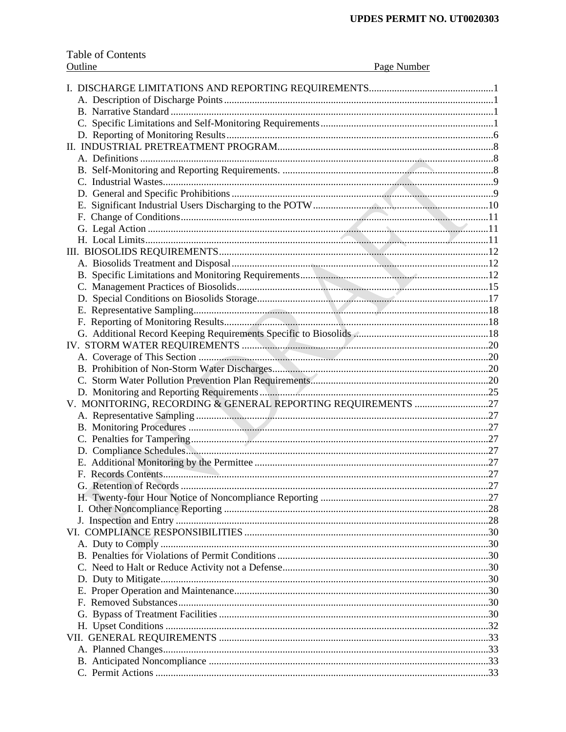| Table of Contents |             |
|-------------------|-------------|
| Outline           | Page Number |

| Page Number |  |  |
|-------------|--|--|

| V. MONITORING, RECORDING & GENERAL REPORTING REQUIREMENTS 27 |  |
|--------------------------------------------------------------|--|
|                                                              |  |
|                                                              |  |
|                                                              |  |
|                                                              |  |
|                                                              |  |
|                                                              |  |
|                                                              |  |
|                                                              |  |
|                                                              |  |
|                                                              |  |
|                                                              |  |
|                                                              |  |
|                                                              |  |
|                                                              |  |
|                                                              |  |
|                                                              |  |
|                                                              |  |
|                                                              |  |
|                                                              |  |
|                                                              |  |
|                                                              |  |
|                                                              |  |
|                                                              |  |
|                                                              |  |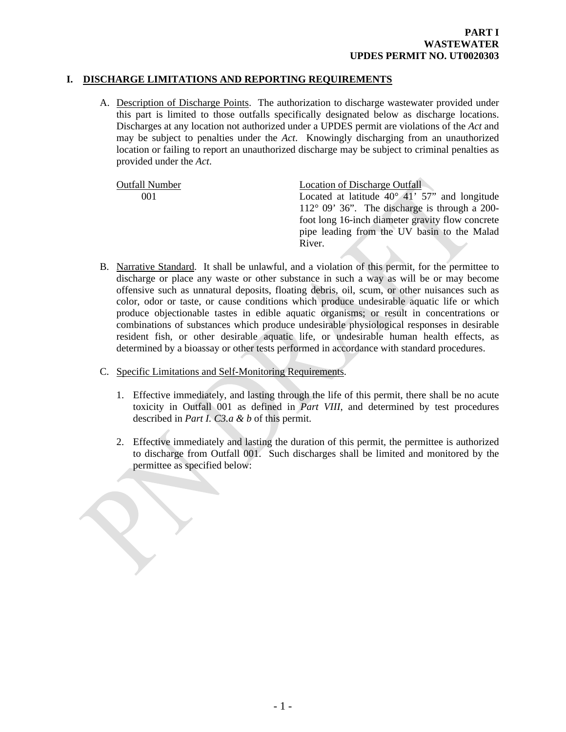## **I. DISCHARGE LIMITATIONS AND REPORTING REQUIREMENTS**

<span id="page-3-1"></span><span id="page-3-0"></span>A. Description of Discharge Points. The authorization to discharge wastewater provided under this part is limited to those outfalls specifically designated below as discharge locations. Discharges at any location not authorized under a UPDES permit are violations of the *Act* and may be subject to penalties under the *Act*. Knowingly discharging from an unauthorized location or failing to report an unauthorized discharge may be subject to criminal penalties as provided under the *Act*.

Outfall Number Location of Discharge Outfall 001 Located at latitude 40° 41' 57" and longitude 112° 09' 36". The discharge is through a 200 foot long 16-inch diameter gravity flow concrete pipe leading from the UV basin to the Malad River.

- <span id="page-3-2"></span>B. Narrative Standard. It shall be unlawful, and a violation of this permit, for the permittee to discharge or place any waste or other substance in such a way as will be or may become offensive such as unnatural deposits, floating debris, oil, scum, or other nuisances such as color, odor or taste, or cause conditions which produce undesirable aquatic life or which produce objectionable tastes in edible aquatic organisms; or result in concentrations or combinations of substances which produce undesirable physiological responses in desirable resident fish, or other desirable aquatic life, or undesirable human health effects, as determined by a bioassay or other tests performed in accordance with standard procedures.
- <span id="page-3-3"></span>C. Specific Limitations and Self-Monitoring Requirements.
	- 1. Effective immediately, and lasting through the life of this permit, there shall be no acute toxicity in Outfall 001 as defined in *Part VIII*, and determined by test procedures described in *Part I. C3.a & b* of this permit.
	- 2. Effective immediately and lasting the duration of this permit, the permittee is authorized to discharge from Outfall 001. Such discharges shall be limited and monitored by the permittee as specified below: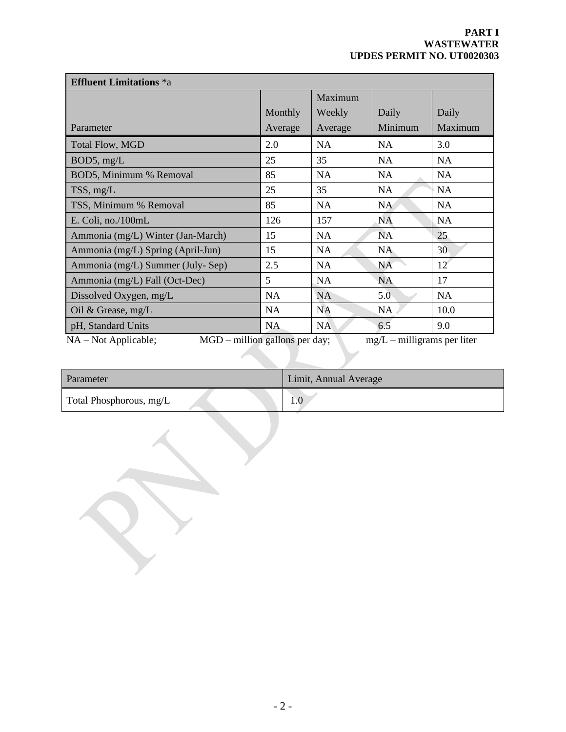#### **PART I WASTEWATER UPDES PERMIT NO. UT0020303**

| <b>Effluent Limitations *a</b>                                                            |           |           |           |           |
|-------------------------------------------------------------------------------------------|-----------|-----------|-----------|-----------|
|                                                                                           |           | Maximum   |           |           |
|                                                                                           | Monthly   | Weekly    | Daily     | Daily     |
| Parameter                                                                                 | Average   | Average   | Minimum   | Maximum   |
| <b>Total Flow, MGD</b>                                                                    | 2.0       | <b>NA</b> | <b>NA</b> | 3.0       |
| $BOD5$ , mg/L                                                                             | 25        | 35        | <b>NA</b> | <b>NA</b> |
| BOD5, Minimum % Removal                                                                   | 85        | <b>NA</b> | <b>NA</b> | <b>NA</b> |
| $TSS$ , mg/L                                                                              | 25        | 35        | <b>NA</b> | <b>NA</b> |
| TSS, Minimum % Removal                                                                    | 85        | NA        | <b>NA</b> | NA        |
| E. Coli, $no./100mL$                                                                      | 126       | 157       | <b>NA</b> | <b>NA</b> |
| Ammonia (mg/L) Winter (Jan-March)                                                         | 15        | NA        | <b>NA</b> | 25        |
| Ammonia (mg/L) Spring (April-Jun)                                                         | 15        | NA        | <b>NA</b> | 30        |
| Ammonia (mg/L) Summer (July-Sep)                                                          | 2.5       | <b>NA</b> | NA        | 12        |
| Ammonia (mg/L) Fall (Oct-Dec)                                                             | 5         | <b>NA</b> | <b>NA</b> | 17        |
| Dissolved Oxygen, mg/L                                                                    | <b>NA</b> | <b>NA</b> | 5.0       | <b>NA</b> |
| Oil & Grease, $mg/L$                                                                      | <b>NA</b> | NA        | <b>NA</b> | 10.0      |
| pH, Standard Units                                                                        | <b>NA</b> | <b>NA</b> | 6.5       | 9.0       |
| NA – Not Applicable;<br>$MGD$ – million gallons per day;<br>$mg/L$ – milligrams per liter |           |           |           |           |

| Parameter               | Limit, Annual Average |
|-------------------------|-----------------------|
| Total Phosphorous, mg/L | 0.1                   |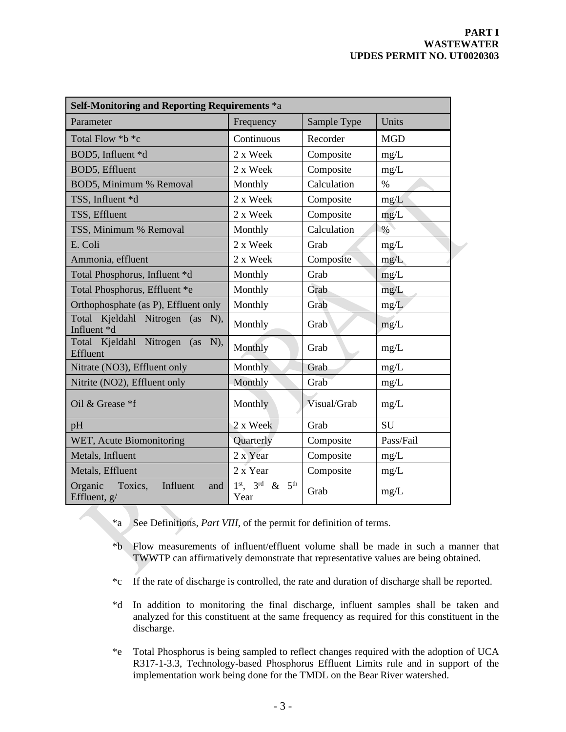| Self-Monitoring and Reporting Requirements *a               |                                            |             |            |  |
|-------------------------------------------------------------|--------------------------------------------|-------------|------------|--|
| Parameter                                                   | Frequency                                  | Sample Type | Units      |  |
| Total Flow *b *c                                            | Continuous                                 | Recorder    | <b>MGD</b> |  |
| BOD5, Influent *d                                           | 2 x Week                                   | Composite   | mg/L       |  |
| BOD5, Effluent                                              | 2 x Week                                   | Composite   | mg/L       |  |
| BOD5, Minimum % Removal                                     | Monthly                                    | Calculation | $\%$       |  |
| TSS, Influent *d                                            | 2 x Week                                   | Composite   | mg/L       |  |
| TSS, Effluent                                               | 2 x Week                                   | Composite   | mg/L       |  |
| TSS, Minimum % Removal                                      | Monthly                                    | Calculation | $\%$       |  |
| E. Coli                                                     | 2 x Week                                   | Grab        | mg/L       |  |
| Ammonia, effluent                                           | 2 x Week                                   | Composite   | mg/L       |  |
| Total Phosphorus, Influent *d                               | Monthly                                    | Grab        | mg/L       |  |
| Total Phosphorus, Effluent *e                               | Monthly                                    | Grab        | mg/L       |  |
| Orthophosphate (as P), Effluent only                        | Monthly                                    | Grab        | mg/L       |  |
| Total<br>Kjeldahl Nitrogen<br>(as)<br>$N$ ),<br>Influent *d | Monthly                                    | Grab        | mg/L       |  |
| Total Kjeldahl Nitrogen (as<br>$N$ ),<br>Effluent           | Monthly                                    | Grab        | mg/L       |  |
| Nitrate (NO3), Effluent only                                | Monthly                                    | Grab        | mg/L       |  |
| Nitrite (NO2), Effluent only                                | Monthly                                    | Grab        | mg/L       |  |
| Oil & Grease *f                                             | Monthly                                    | Visual/Grab | mg/L       |  |
| pH                                                          | 2 x Week                                   | Grab        | <b>SU</b>  |  |
| WET, Acute Biomonitoring                                    | Quarterly                                  | Composite   | Pass/Fail  |  |
| Metals, Influent                                            | 2 x Year                                   | Composite   | mg/L       |  |
| Metals, Effluent                                            | 2 x Year                                   | Composite   | mg/L       |  |
| Organic<br>Influent<br>Toxics,<br>and<br>Effluent, g/       | $1st$ . $3rd$ &<br>5 <sup>th</sup><br>Year | Grab        | mg/L       |  |

- \*a See Definitions, *Part VIII*, of the permit for definition of terms.
- \*b Flow measurements of influent/effluent volume shall be made in such a manner that TWWTP can affirmatively demonstrate that representative values are being obtained.
- \*c If the rate of discharge is controlled, the rate and duration of discharge shall be reported.
- \*d In addition to monitoring the final discharge, influent samples shall be taken and analyzed for this constituent at the same frequency as required for this constituent in the discharge.
- \*e Total Phosphorus is being sampled to reflect changes required with the adoption of UCA R317-1-3.3, Technology-based Phosphorus Effluent Limits rule and in support of the implementation work being done for the TMDL on the Bear River watershed.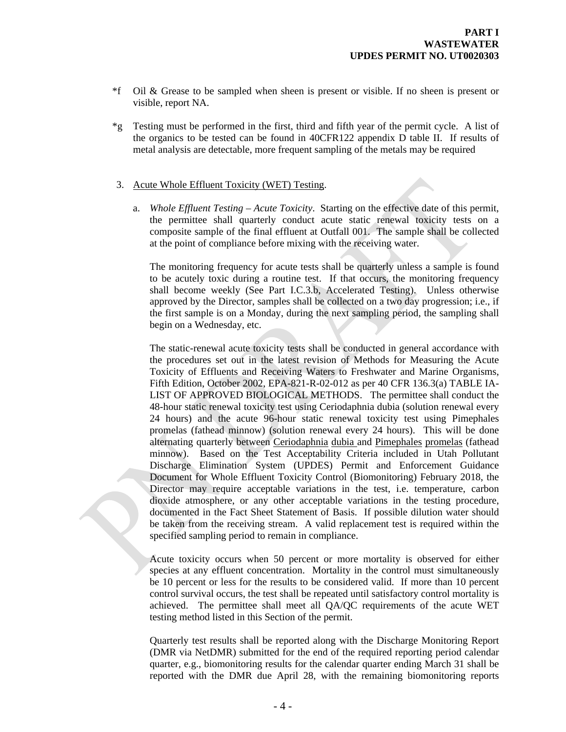- \*f Oil & Grease to be sampled when sheen is present or visible. If no sheen is present or visible, report NA.
- \*g Testing must be performed in the first, third and fifth year of the permit cycle. A list of the organics to be tested can be found in 40CFR122 appendix D table II. If results of metal analysis are detectable, more frequent sampling of the metals may be required

#### 3. Acute Whole Effluent Toxicity (WET) Testing.

a. *Whole Effluent Testing – Acute Toxicity*. Starting on the effective date of this permit, the permittee shall quarterly conduct acute static renewal toxicity tests on a composite sample of the final effluent at Outfall 001. The sample shall be collected at the point of compliance before mixing with the receiving water.

The monitoring frequency for acute tests shall be quarterly unless a sample is found to be acutely toxic during a routine test. If that occurs, the monitoring frequency shall become weekly (See Part I.C.3.b, Accelerated Testing). Unless otherwise approved by the Director, samples shall be collected on a two day progression; i.e., if the first sample is on a Monday, during the next sampling period, the sampling shall begin on a Wednesday, etc.

The static-renewal acute toxicity tests shall be conducted in general accordance with the procedures set out in the latest revision of Methods for Measuring the Acute Toxicity of Effluents and Receiving Waters to Freshwater and Marine Organisms, Fifth Edition, October 2002, EPA-821-R-02-012 as per 40 CFR 136.3(a) TABLE IA-LIST OF APPROVED BIOLOGICAL METHODS. The permittee shall conduct the 48-hour static renewal toxicity test using Ceriodaphnia dubia (solution renewal every 24 hours) and the acute 96-hour static renewal toxicity test using Pimephales promelas (fathead minnow) (solution renewal every 24 hours). This will be done alternating quarterly between Ceriodaphnia dubia and Pimephales promelas (fathead minnow). Based on the Test Acceptability Criteria included in Utah Pollutant Discharge Elimination System (UPDES) Permit and Enforcement Guidance Document for Whole Effluent Toxicity Control (Biomonitoring) February 2018, the Director may require acceptable variations in the test, i.e. temperature, carbon dioxide atmosphere, or any other acceptable variations in the testing procedure, documented in the Fact Sheet Statement of Basis. If possible dilution water should be taken from the receiving stream. A valid replacement test is required within the specified sampling period to remain in compliance.

Acute toxicity occurs when 50 percent or more mortality is observed for either species at any effluent concentration. Mortality in the control must simultaneously be 10 percent or less for the results to be considered valid. If more than 10 percent control survival occurs, the test shall be repeated until satisfactory control mortality is achieved. The permittee shall meet all QA/QC requirements of the acute WET testing method listed in this Section of the permit.

Quarterly test results shall be reported along with the Discharge Monitoring Report (DMR via NetDMR) submitted for the end of the required reporting period calendar quarter, e.g., biomonitoring results for the calendar quarter ending March 31 shall be reported with the DMR due April 28, with the remaining biomonitoring reports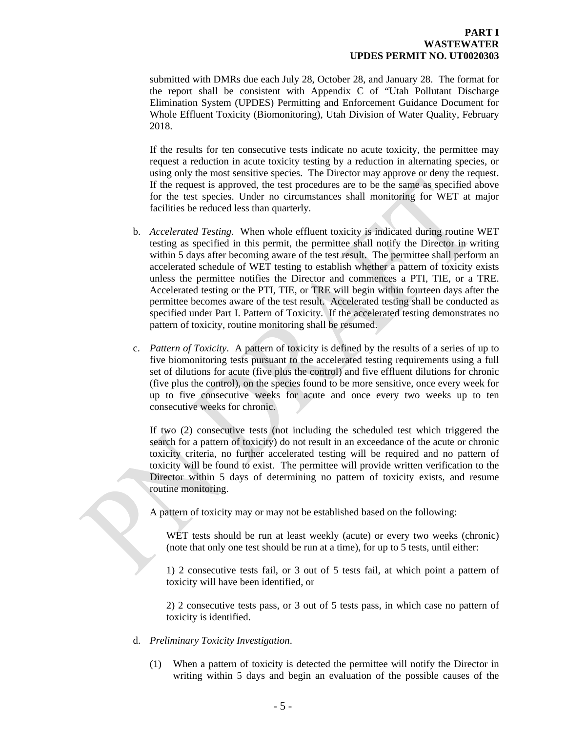submitted with DMRs due each July 28, October 28, and January 28. The format for the report shall be consistent with Appendix C of "Utah Pollutant Discharge Elimination System (UPDES) Permitting and Enforcement Guidance Document for Whole Effluent Toxicity (Biomonitoring), Utah Division of Water Quality, February 2018.

If the results for ten consecutive tests indicate no acute toxicity, the permittee may request a reduction in acute toxicity testing by a reduction in alternating species, or using only the most sensitive species. The Director may approve or deny the request. If the request is approved, the test procedures are to be the same as specified above for the test species. Under no circumstances shall monitoring for WET at major facilities be reduced less than quarterly.

- b. *Accelerated Testing*. When whole effluent toxicity is indicated during routine WET testing as specified in this permit, the permittee shall notify the Director in writing within 5 days after becoming aware of the test result. The permittee shall perform an accelerated schedule of WET testing to establish whether a pattern of toxicity exists unless the permittee notifies the Director and commences a PTI, TIE, or a TRE. Accelerated testing or the PTI, TIE, or TRE will begin within fourteen days after the permittee becomes aware of the test result. Accelerated testing shall be conducted as specified under Part I. Pattern of Toxicity. If the accelerated testing demonstrates no pattern of toxicity, routine monitoring shall be resumed.
- c. *Pattern of Toxicity*. A pattern of toxicity is defined by the results of a series of up to five biomonitoring tests pursuant to the accelerated testing requirements using a full set of dilutions for acute (five plus the control) and five effluent dilutions for chronic (five plus the control), on the species found to be more sensitive, once every week for up to five consecutive weeks for acute and once every two weeks up to ten consecutive weeks for chronic.

If two (2) consecutive tests (not including the scheduled test which triggered the search for a pattern of toxicity) do not result in an exceedance of the acute or chronic toxicity criteria, no further accelerated testing will be required and no pattern of toxicity will be found to exist. The permittee will provide written verification to the Director within 5 days of determining no pattern of toxicity exists, and resume routine monitoring.

A pattern of toxicity may or may not be established based on the following:

WET tests should be run at least weekly (acute) or every two weeks (chronic) (note that only one test should be run at a time), for up to 5 tests, until either:

1) 2 consecutive tests fail, or 3 out of 5 tests fail, at which point a pattern of toxicity will have been identified, or

2) 2 consecutive tests pass, or 3 out of 5 tests pass, in which case no pattern of toxicity is identified.

- d. *Preliminary Toxicity Investigation*.
	- (1) When a pattern of toxicity is detected the permittee will notify the Director in writing within 5 days and begin an evaluation of the possible causes of the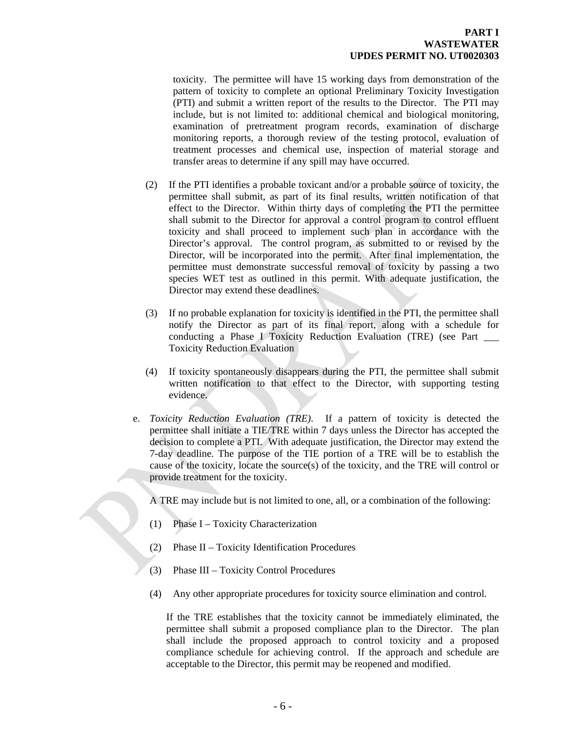toxicity. The permittee will have 15 working days from demonstration of the pattern of toxicity to complete an optional Preliminary Toxicity Investigation (PTI) and submit a written report of the results to the Director. The PTI may include, but is not limited to: additional chemical and biological monitoring, examination of pretreatment program records, examination of discharge monitoring reports, a thorough review of the testing protocol, evaluation of treatment processes and chemical use, inspection of material storage and transfer areas to determine if any spill may have occurred.

- (2) If the PTI identifies a probable toxicant and/or a probable source of toxicity, the permittee shall submit, as part of its final results, written notification of that effect to the Director. Within thirty days of completing the PTI the permittee shall submit to the Director for approval a control program to control effluent toxicity and shall proceed to implement such plan in accordance with the Director's approval. The control program, as submitted to or revised by the Director, will be incorporated into the permit. After final implementation, the permittee must demonstrate successful removal of toxicity by passing a two species WET test as outlined in this permit. With adequate justification, the Director may extend these deadlines.
- (3) If no probable explanation for toxicity is identified in the PTI, the permittee shall notify the Director as part of its final report, along with a schedule for conducting a Phase I Toxicity Reduction Evaluation (TRE) (see Part \_\_\_ Toxicity Reduction Evaluation
- (4) If toxicity spontaneously disappears during the PTI, the permittee shall submit written notification to that effect to the Director, with supporting testing evidence.
- e. *Toxicity Reduction Evaluation (TRE)*. If a pattern of toxicity is detected the permittee shall initiate a TIE/TRE within 7 days unless the Director has accepted the decision to complete a PTI. With adequate justification, the Director may extend the 7-day deadline. The purpose of the TIE portion of a TRE will be to establish the cause of the toxicity, locate the source(s) of the toxicity, and the TRE will control or provide treatment for the toxicity.

A TRE may include but is not limited to one, all, or a combination of the following:

- (1) Phase I Toxicity Characterization
- (2) Phase II Toxicity Identification Procedures
- (3) Phase III Toxicity Control Procedures
- (4) Any other appropriate procedures for toxicity source elimination and control.

If the TRE establishes that the toxicity cannot be immediately eliminated, the permittee shall submit a proposed compliance plan to the Director. The plan shall include the proposed approach to control toxicity and a proposed compliance schedule for achieving control. If the approach and schedule are acceptable to the Director, this permit may be reopened and modified.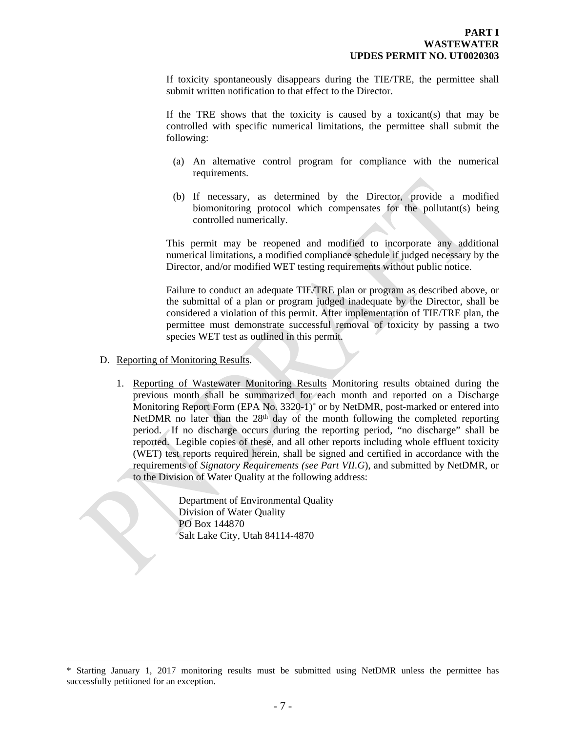If toxicity spontaneously disappears during the TIE/TRE, the permittee shall submit written notification to that effect to the Director.

If the TRE shows that the toxicity is caused by a toxicant(s) that may be controlled with specific numerical limitations, the permittee shall submit the following:

- (a) An alternative control program for compliance with the numerical requirements.
- (b) If necessary, as determined by the Director, provide a modified biomonitoring protocol which compensates for the pollutant(s) being controlled numerically.

This permit may be reopened and modified to incorporate any additional numerical limitations, a modified compliance schedule if judged necessary by the Director, and/or modified WET testing requirements without public notice.

<span id="page-9-0"></span>Failure to conduct an adequate TIE/TRE plan or program as described above, or the submittal of a plan or program judged inadequate by the Director, shall be considered a violation of this permit. After implementation of TIE/TRE plan, the permittee must demonstrate successful removal of toxicity by passing a two species WET test as outlined in this permit.

- D. Reporting of Monitoring Results.
	- 1. Reporting of Wastewater Monitoring Results Monitoring results obtained during the previous month shall be summarized for each month and reported on a Discharge Monitoring Report Form (EPA No. 3320-1)\* or by NetDMR, post-marked or entered into NetDMR no later than the  $28<sup>th</sup>$  day of the month following the completed reporting period. If no discharge occurs during the reporting period, "no discharge" shall be reported. Legible copies of these, and all other reports including whole effluent toxicity (WET) test reports required herein, shall be signed and certified in accordance with the requirements of *Signatory Requirements (see Part VII.G*), and submitted by NetDMR, or to the Division of Water Quality at the following address:

Department of Environmental Quality Division of Water Quality PO Box 144870 Salt Lake City, Utah 84114-4870

<sup>\*</sup> Starting January 1, 2017 monitoring results must be submitted using NetDMR unless the permittee has successfully petitioned for an exception.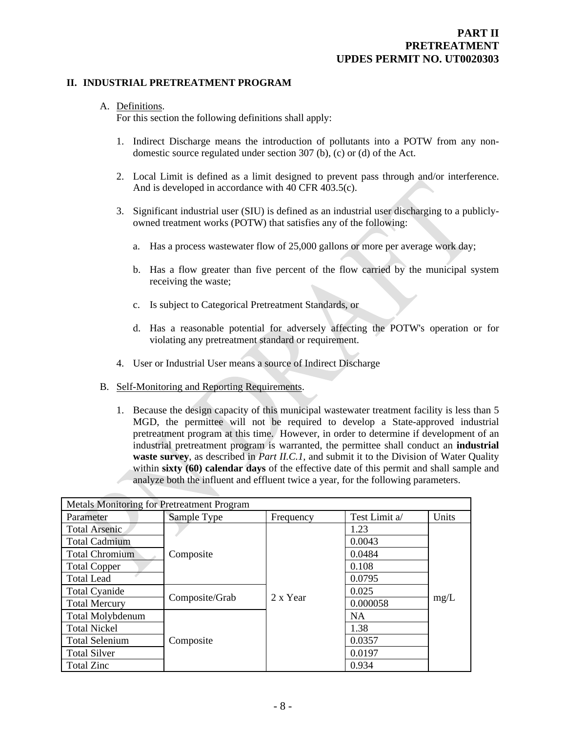### **II. INDUSTRIAL PRETREATMENT PROGRAM**

### A. Definitions.

<span id="page-10-1"></span><span id="page-10-0"></span>For this section the following definitions shall apply:

- 1. Indirect Discharge means the introduction of pollutants into a POTW from any nondomestic source regulated under section 307 (b), (c) or (d) of the Act.
- 2. Local Limit is defined as a limit designed to prevent pass through and/or interference. And is developed in accordance with 40 CFR 403.5(c).
- 3. Significant industrial user (SIU) is defined as an industrial user discharging to a publiclyowned treatment works (POTW) that satisfies any of the following:
	- a. Has a process wastewater flow of 25,000 gallons or more per average work day;
	- b. Has a flow greater than five percent of the flow carried by the municipal system receiving the waste;
	- c. Is subject to Categorical Pretreatment Standards, or
	- d. Has a reasonable potential for adversely affecting the POTW's operation or for violating any pretreatment standard or requirement.
- <span id="page-10-2"></span>4. User or Industrial User means a source of Indirect Discharge
- B. Self-Monitoring and Reporting Requirements.
	- 1. Because the design capacity of this municipal wastewater treatment facility is less than 5 MGD, the permittee will not be required to develop a State-approved industrial pretreatment program at this time. However, in order to determine if development of an industrial pretreatment program is warranted, the permittee shall conduct an **industrial waste survey**, as described in *Part II.C.1*, and submit it to the Division of Water Quality within **sixty (60) calendar days** of the effective date of this permit and shall sample and analyze both the influent and effluent twice a year, for the following parameters.

| <b>Metals Monitoring for Pretreatment Program</b> |                |           |               |       |
|---------------------------------------------------|----------------|-----------|---------------|-------|
| Parameter                                         | Sample Type    | Frequency | Test Limit a/ | Units |
| <b>Total Arsenic</b>                              |                |           | 1.23          |       |
| <b>Total Cadmium</b>                              |                |           | 0.0043        |       |
| <b>Total Chromium</b>                             | Composite      |           | 0.0484        |       |
| <b>Total Copper</b>                               |                |           | 0.108         |       |
| <b>Total Lead</b>                                 |                |           | 0.0795        |       |
| <b>Total Cyanide</b>                              |                | 2 x Year  | 0.025         |       |
| <b>Total Mercury</b>                              | Composite/Grab |           | 0.000058      | mg/L  |
| <b>Total Molybdenum</b>                           |                |           | <b>NA</b>     |       |
| <b>Total Nickel</b>                               |                |           | 1.38          |       |
| <b>Total Selenium</b>                             | Composite      |           | 0.0357        |       |
| <b>Total Silver</b>                               |                |           | 0.0197        |       |
| <b>Total Zinc</b>                                 |                |           | 0.934         |       |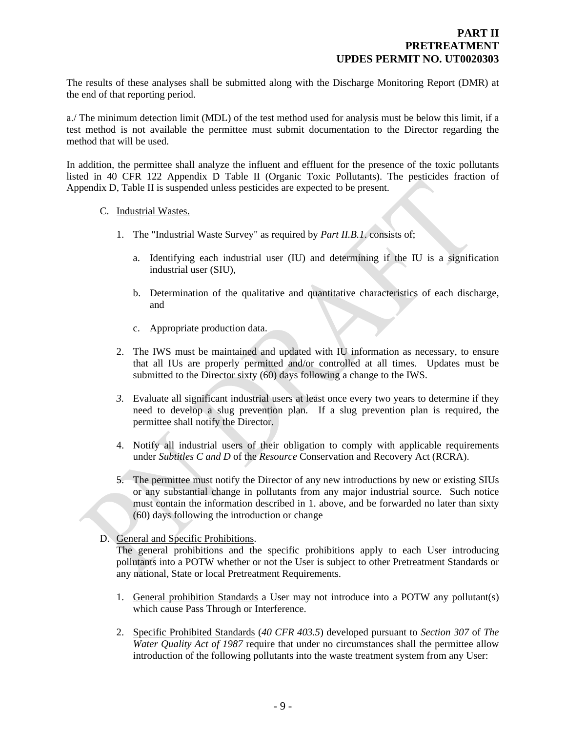The results of these analyses shall be submitted along with the Discharge Monitoring Report (DMR) at the end of that reporting period.

a./ The minimum detection limit (MDL) of the test method used for analysis must be below this limit, if a test method is not available the permittee must submit documentation to the Director regarding the method that will be used.

In addition, the permittee shall analyze the influent and effluent for the presence of the toxic pollutants listed in 40 CFR 122 Appendix D Table II (Organic Toxic Pollutants). The pesticides fraction of Appendix D, Table II is suspended unless pesticides are expected to be present.

#### C. Industrial Wastes.

- <span id="page-11-0"></span>1. The "Industrial Waste Survey" as required by *Part II.B.1*. consists of;
	- a. Identifying each industrial user (IU) and determining if the IU is a signification industrial user (SIU),
	- b. Determination of the qualitative and quantitative characteristics of each discharge, and
	- c. Appropriate production data.
- 2. The IWS must be maintained and updated with IU information as necessary, to ensure that all IUs are properly permitted and/or controlled at all times. Updates must be submitted to the Director sixty (60) days following a change to the IWS.
- *3.* Evaluate all significant industrial users at least once every two years to determine if they need to develop a slug prevention plan. If a slug prevention plan is required, the permittee shall notify the Director.
- 4. Notify all industrial users of their obligation to comply with applicable requirements under *Subtitles C and D* of the *Resource* Conservation and Recovery Act (RCRA).
- 5. The permittee must notify the Director of any new introductions by new or existing SIUs or any substantial change in pollutants from any major industrial source. Such notice must contain the information described in 1. above, and be forwarded no later than sixty (60) days following the introduction or change
- D. General and Specific Prohibitions.

<span id="page-11-1"></span>The general prohibitions and the specific prohibitions apply to each User introducing pollutants into a POTW whether or not the User is subject to other Pretreatment Standards or any national, State or local Pretreatment Requirements.

- 1. General prohibition Standards a User may not introduce into a POTW any pollutant(s) which cause Pass Through or Interference.
- 2. Specific Prohibited Standards (*40 CFR 403.5*) developed pursuant to *Section 307* of *The Water Quality Act of 1987* require that under no circumstances shall the permittee allow introduction of the following pollutants into the waste treatment system from any User: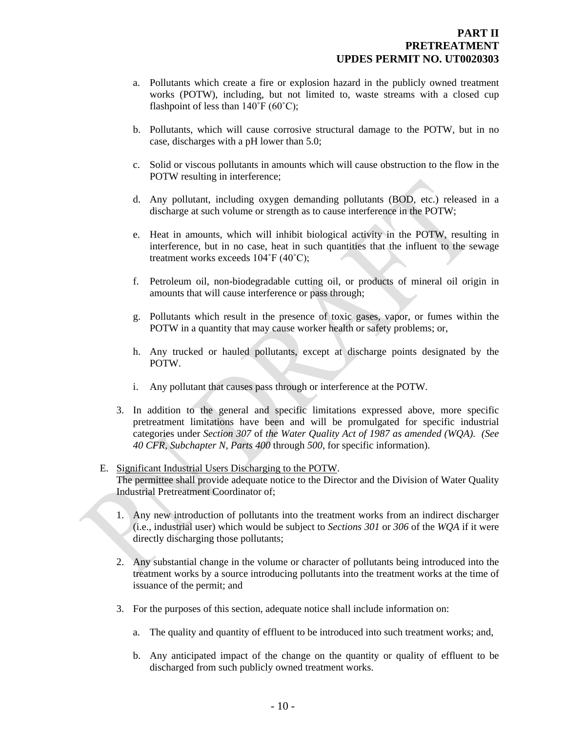# **PART II PRETREATMENT UPDES PERMIT NO. UT0020303**

- a. Pollutants which create a fire or explosion hazard in the publicly owned treatment works (POTW), including, but not limited to, waste streams with a closed cup flashpoint of less than  $140^{\circ}F(60^{\circ}C)$ ;
- b. Pollutants, which will cause corrosive structural damage to the POTW, but in no case, discharges with a pH lower than 5.0;
- c. Solid or viscous pollutants in amounts which will cause obstruction to the flow in the POTW resulting in interference;
- d. Any pollutant, including oxygen demanding pollutants (BOD, etc.) released in a discharge at such volume or strength as to cause interference in the POTW;
- e. Heat in amounts, which will inhibit biological activity in the POTW, resulting in interference, but in no case, heat in such quantities that the influent to the sewage treatment works exceeds 104˚F (40˚C);
- f. Petroleum oil, non-biodegradable cutting oil, or products of mineral oil origin in amounts that will cause interference or pass through;
- g. Pollutants which result in the presence of toxic gases, vapor, or fumes within the POTW in a quantity that may cause worker health or safety problems; or,
- h. Any trucked or hauled pollutants, except at discharge points designated by the POTW.
- <span id="page-12-0"></span>i. Any pollutant that causes pass through or interference at the POTW.
- 3. In addition to the general and specific limitations expressed above, more specific pretreatment limitations have been and will be promulgated for specific industrial categories under *Section 307* of *the Water Quality Act of 1987 as amended (WQA). (See 40 CFR, Subchapter N, Parts 400* through *500*, for specific information).
- E. Significant Industrial Users Discharging to the POTW. The permittee shall provide adequate notice to the Director and the Division of Water Quality Industrial Pretreatment Coordinator of;
	- 1. Any new introduction of pollutants into the treatment works from an indirect discharger (i.e., industrial user) which would be subject to *Sections 301* or *306* of the *WQA* if it were directly discharging those pollutants;
	- 2. Any substantial change in the volume or character of pollutants being introduced into the treatment works by a source introducing pollutants into the treatment works at the time of issuance of the permit; and
	- 3. For the purposes of this section, adequate notice shall include information on:
		- a. The quality and quantity of effluent to be introduced into such treatment works; and,
		- b. Any anticipated impact of the change on the quantity or quality of effluent to be discharged from such publicly owned treatment works.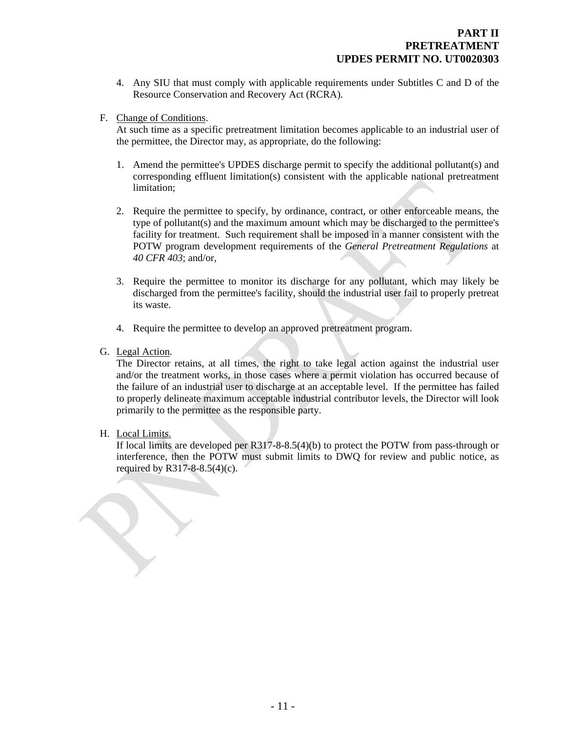# **PART II PRETREATMENT UPDES PERMIT NO. UT0020303**

- 4. Any SIU that must comply with applicable requirements under Subtitles C and D of the Resource Conservation and Recovery Act (RCRA).
- F. Change of Conditions.

<span id="page-13-0"></span>At such time as a specific pretreatment limitation becomes applicable to an industrial user of the permittee, the Director may, as appropriate, do the following:

- 1. Amend the permittee's UPDES discharge permit to specify the additional pollutant(s) and corresponding effluent limitation(s) consistent with the applicable national pretreatment limitation;
- 2. Require the permittee to specify, by ordinance, contract, or other enforceable means, the type of pollutant(s) and the maximum amount which may be discharged to the permittee's facility for treatment. Such requirement shall be imposed in a manner consistent with the POTW program development requirements of the *General Pretreatment Regulations* at *40 CFR 403*; and/or,
- 3. Require the permittee to monitor its discharge for any pollutant, which may likely be discharged from the permittee's facility, should the industrial user fail to properly pretreat its waste.
- 4. Require the permittee to develop an approved pretreatment program.
- G. Legal Action.

<span id="page-13-1"></span>The Director retains, at all times, the right to take legal action against the industrial user and/or the treatment works, in those cases where a permit violation has occurred because of the failure of an industrial user to discharge at an acceptable level. If the permittee has failed to properly delineate maximum acceptable industrial contributor levels, the Director will look primarily to the permittee as the responsible party.

H. Local Limits.

R

<span id="page-13-2"></span>If local limits are developed per R317-8-8.5(4)(b) to protect the POTW from pass-through or interference, then the POTW must submit limits to DWQ for review and public notice, as required by R317-8-8.5(4)(c).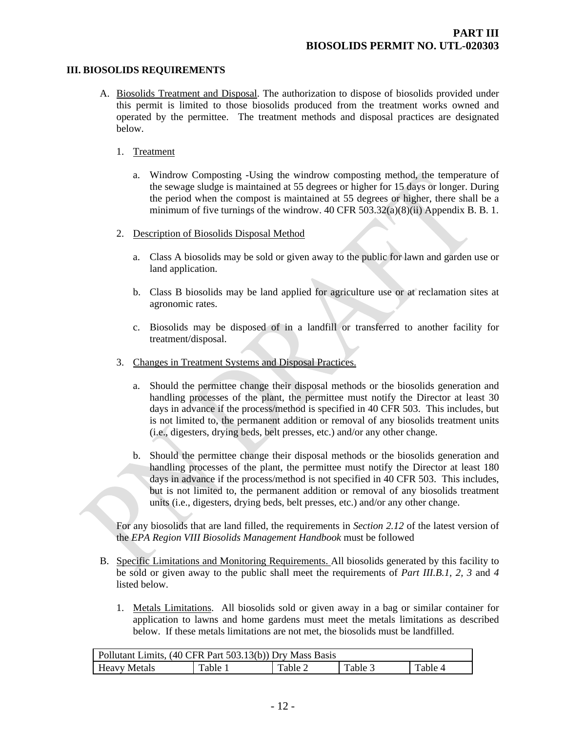#### **III. BIOSOLIDS REQUIREMENTS**

- <span id="page-14-1"></span><span id="page-14-0"></span>A. Biosolids Treatment and Disposal. The authorization to dispose of biosolids provided under this permit is limited to those biosolids produced from the treatment works owned and operated by the permittee. The treatment methods and disposal practices are designated below.
	- 1. Treatment
		- a. Windrow Composting -Using the windrow composting method, the temperature of the sewage sludge is maintained at 55 degrees or higher for 15 days or longer. During the period when the compost is maintained at 55 degrees or higher, there shall be a minimum of five turnings of the windrow. 40 CFR  $503.32(a)(8)(ii)$  Appendix B. B. 1.
	- 2. Description of Biosolids Disposal Method
		- a. Class A biosolids may be sold or given away to the public for lawn and garden use or land application.
		- b. Class B biosolids may be land applied for agriculture use or at reclamation sites at agronomic rates.
		- c. Biosolids may be disposed of in a landfill or transferred to another facility for treatment/disposal.
	- 3. Changes in Treatment Systems and Disposal Practices.
		- a. Should the permittee change their disposal methods or the biosolids generation and handling processes of the plant, the permittee must notify the Director at least 30 days in advance if the process/method is specified in 40 CFR 503. This includes, but is not limited to, the permanent addition or removal of any biosolids treatment units (i.e., digesters, drying beds, belt presses, etc.) and/or any other change.
		- b. Should the permittee change their disposal methods or the biosolids generation and handling processes of the plant, the permittee must notify the Director at least 180 days in advance if the process/method is not specified in 40 CFR 503. This includes, but is not limited to, the permanent addition or removal of any biosolids treatment units (i.e., digesters, drying beds, belt presses, etc.) and/or any other change.

For any biosolids that are land filled, the requirements in *Section 2.12* of the latest version of the *EPA Region VIII Biosolids Management Handbook* must be followed

- <span id="page-14-2"></span>B. Specific Limitations and Monitoring Requirements. All biosolids generated by this facility to be sold or given away to the public shall meet the requirements of *Part III.B.1, 2, 3* and *4* listed below.
	- 1. Metals Limitations. All biosolids sold or given away in a bag or similar container for application to lawns and home gardens must meet the metals limitations as described below. If these metals limitations are not met, the biosolids must be landfilled.

| Pollutant Limits, (40 CFR Part 503.13(b)) Dry Mass Basis |         |         |         |         |
|----------------------------------------------------------|---------|---------|---------|---------|
| <b>Heavy Metals</b>                                      | Table 1 | Table 2 | Table 3 | Table 4 |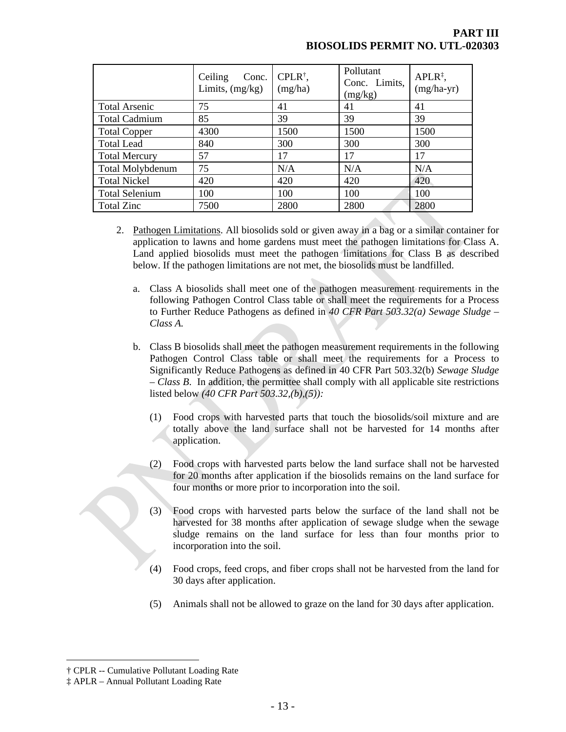|                       | Ceiling<br>Conc.<br>Limits, $(mg/kg)$ | $CPLR^{\dagger}$ ,<br>(mg/ha) | Pollutant<br>Conc. Limits,<br>(mg/kg) | $APLR^{\ddagger}$ ,<br>$(mg/ha-yr)$ |
|-----------------------|---------------------------------------|-------------------------------|---------------------------------------|-------------------------------------|
| <b>Total Arsenic</b>  | 75                                    | 41                            | 41                                    | 41                                  |
| <b>Total Cadmium</b>  | 85                                    | 39                            | 39                                    | 39                                  |
| <b>Total Copper</b>   | 4300                                  | 1500                          | 1500                                  | 1500                                |
| <b>Total Lead</b>     | 840                                   | 300                           | 300                                   | 300                                 |
| <b>Total Mercury</b>  | 57                                    | 17                            | 17                                    | 17                                  |
| Total Molybdenum      | 75                                    | N/A                           | N/A                                   | N/A                                 |
| <b>Total Nickel</b>   | 420                                   | 420                           | 420                                   | 420                                 |
| <b>Total Selenium</b> | 100                                   | 100                           | 100                                   | 100                                 |
| Total Zinc            | 7500                                  | 2800                          | 2800                                  | 2800                                |

# **PART III BIOSOLIDS PERMIT NO. UTL-020303**

- 2. Pathogen Limitations. All biosolids sold or given away in a bag or a similar container for application to lawns and home gardens must meet the pathogen limitations for Class A. Land applied biosolids must meet the pathogen limitations for Class B as described below. If the pathogen limitations are not met, the biosolids must be landfilled.
	- a. Class A biosolids shall meet one of the pathogen measurement requirements in the following Pathogen Control Class table or shall meet the requirements for a Process to Further Reduce Pathogens as defined in *40 CFR Part 503.32(a) Sewage Sludge – Class A.*
	- b. Class B biosolids shall meet the pathogen measurement requirements in the following Pathogen Control Class table or shall meet the requirements for a Process to Significantly Reduce Pathogens as defined in 40 CFR Part 503.32(b) *Sewage Sludge – Class B*. In addition, the permittee shall comply with all applicable site restrictions listed below *(40 CFR Part 503.32,(b),(5)):*
		- (1) Food crops with harvested parts that touch the biosolids/soil mixture and are totally above the land surface shall not be harvested for 14 months after application.
		- (2) Food crops with harvested parts below the land surface shall not be harvested for 20 months after application if the biosolids remains on the land surface for four months or more prior to incorporation into the soil.
		- (3) Food crops with harvested parts below the surface of the land shall not be harvested for 38 months after application of sewage sludge when the sewage sludge remains on the land surface for less than four months prior to incorporation into the soil.
		- (4) Food crops, feed crops, and fiber crops shall not be harvested from the land for 30 days after application.
		- (5) Animals shall not be allowed to graze on the land for 30 days after application.

<sup>†</sup> CPLR -- Cumulative Pollutant Loading Rate

<sup>‡</sup> APLR – Annual Pollutant Loading Rate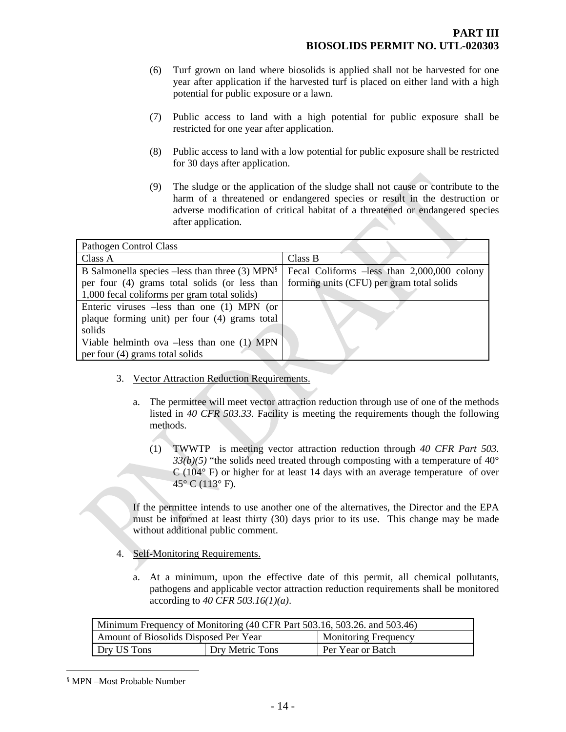- (6) Turf grown on land where biosolids is applied shall not be harvested for one year after application if the harvested turf is placed on either land with a high potential for public exposure or a lawn.
- (7) Public access to land with a high potential for public exposure shall be restricted for one year after application.
- (8) Public access to land with a low potential for public exposure shall be restricted for 30 days after application.
- (9) The sludge or the application of the sludge shall not cause or contribute to the harm of a threatened or endangered species or result in the destruction or adverse modification of critical habitat of a threatened or endangered species after application.

| Pathogen Control Class                                     |                                             |
|------------------------------------------------------------|---------------------------------------------|
| Class A                                                    | Class B                                     |
| B Salmonella species –less than three (3) MPN <sup>§</sup> | Fecal Coliforms –less than 2,000,000 colony |
| per four (4) grams total solids (or less than              | forming units (CFU) per gram total solids   |
| 1,000 fecal coliforms per gram total solids)               |                                             |
| Enteric viruses $-{\text{less}}$ than one (1) MPN (or      |                                             |
| plaque forming unit) per four (4) grams total              |                                             |
| solids                                                     |                                             |
| Viable helminth ova $-$ less than one $(1)$ MPN            |                                             |
| per four (4) grams total solids                            |                                             |

- 3. Vector Attraction Reduction Requirements.
	- a. The permittee will meet vector attraction reduction through use of one of the methods listed in *40 CFR 503.33*. Facility is meeting the requirements though the following methods.
		- (1) TWWTP is meeting vector attraction reduction through *40 CFR Part 503.*   $33(b)(5)$  "the solids need treated through composting with a temperature of  $40^{\circ}$ C (104° F) or higher for at least 14 days with an average temperature of over  $45^{\circ}$  C (113 $^{\circ}$  F).

If the permittee intends to use another one of the alternatives, the Director and the EPA must be informed at least thirty (30) days prior to its use. This change may be made without additional public comment.

- 4. Self-Monitoring Requirements.
	- a. At a minimum, upon the effective date of this permit, all chemical pollutants, pathogens and applicable vector attraction reduction requirements shall be monitored according to *40 CFR 503.16(1)(a)*.

| Minimum Frequency of Monitoring (40 CFR Part 503.16, 503.26. and 503.46) |                 |                             |
|--------------------------------------------------------------------------|-----------------|-----------------------------|
| Amount of Biosolids Disposed Per Year                                    |                 | <b>Monitoring Frequency</b> |
| Dry US Tons                                                              | Dry Metric Tons | Per Year or Batch           |

<sup>§</sup> MPN –Most Probable Number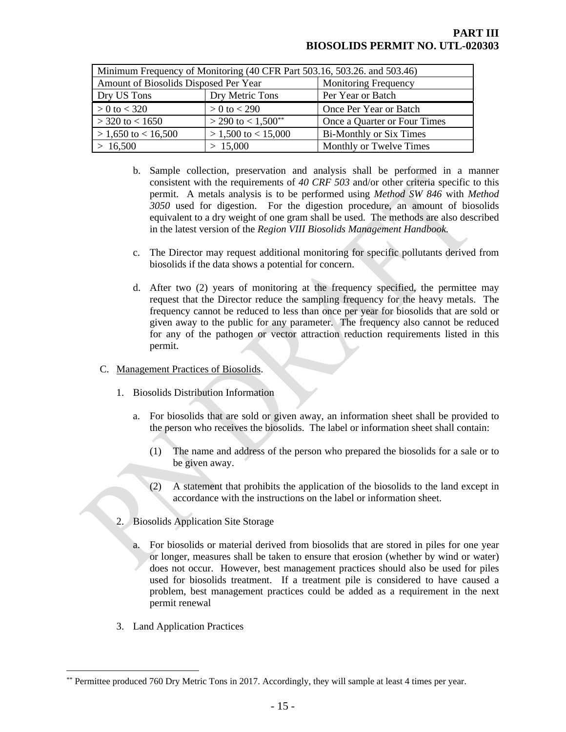| Minimum Frequency of Monitoring (40 CFR Part 503.16, 503.26. and 503.46) |                         |                                |
|--------------------------------------------------------------------------|-------------------------|--------------------------------|
| Amount of Biosolids Disposed Per Year                                    |                         | <b>Monitoring Frequency</b>    |
| Dry US Tons                                                              | Dry Metric Tons         | Per Year or Batch              |
| $> 0$ to $< 320$                                                         | $> 0$ to $< 290$        | Once Per Year or Batch         |
| $>$ 320 to $<$ 1650                                                      | $>$ 290 to < 1,500**    | Once a Quarter or Four Times   |
| $>1,650$ to $< 16,500$                                                   | $> 1,500$ to $< 15,000$ | <b>Bi-Monthly or Six Times</b> |
| 16,500                                                                   | 15,000                  | Monthly or Twelve Times        |

- b. Sample collection, preservation and analysis shall be performed in a manner consistent with the requirements of *40 CRF 503* and/or other criteria specific to this permit. A metals analysis is to be performed using *Method SW 846* with *Method 3050* used for digestion. For the digestion procedure, an amount of biosolids equivalent to a dry weight of one gram shall be used. The methods are also described in the latest version of the *Region VIII Biosolids Management Handbook.*
- c. The Director may request additional monitoring for specific pollutants derived from biosolids if the data shows a potential for concern.
- d. After two (2) years of monitoring at the frequency specified, the permittee may request that the Director reduce the sampling frequency for the heavy metals. The frequency cannot be reduced to less than once per year for biosolids that are sold or given away to the public for any parameter. The frequency also cannot be reduced for any of the pathogen or vector attraction reduction requirements listed in this permit.

### C. Management Practices of Biosolids.

- <span id="page-17-0"></span>1. Biosolids Distribution Information
	- a. For biosolids that are sold or given away, an information sheet shall be provided to the person who receives the biosolids. The label or information sheet shall contain:
		- (1) The name and address of the person who prepared the biosolids for a sale or to be given away.
		- (2) A statement that prohibits the application of the biosolids to the land except in accordance with the instructions on the label or information sheet.
- 2. Biosolids Application Site Storage
	- a. For biosolids or material derived from biosolids that are stored in piles for one year or longer, measures shall be taken to ensure that erosion (whether by wind or water) does not occur. However, best management practices should also be used for piles used for biosolids treatment. If a treatment pile is considered to have caused a problem, best management practices could be added as a requirement in the next permit renewal
- 3. Land Application Practices

Permittee produced 760 Dry Metric Tons in 2017. Accordingly, they will sample at least 4 times per year.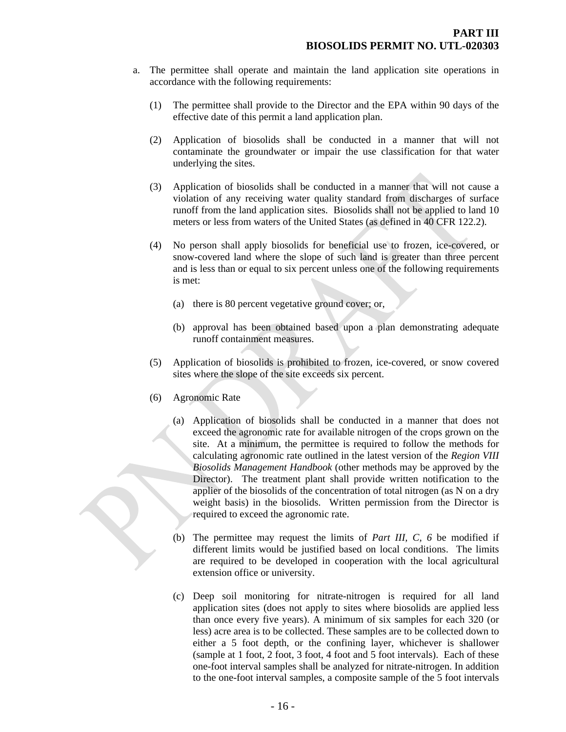- a. The permittee shall operate and maintain the land application site operations in accordance with the following requirements:
	- (1) The permittee shall provide to the Director and the EPA within 90 days of the effective date of this permit a land application plan.
	- (2) Application of biosolids shall be conducted in a manner that will not contaminate the groundwater or impair the use classification for that water underlying the sites.
	- (3) Application of biosolids shall be conducted in a manner that will not cause a violation of any receiving water quality standard from discharges of surface runoff from the land application sites. Biosolids shall not be applied to land 10 meters or less from waters of the United States (as defined in 40 CFR 122.2).
	- (4) No person shall apply biosolids for beneficial use to frozen, ice-covered, or snow-covered land where the slope of such land is greater than three percent and is less than or equal to six percent unless one of the following requirements is met:
		- (a) there is 80 percent vegetative ground cover; or,
		- (b) approval has been obtained based upon a plan demonstrating adequate runoff containment measures.
	- (5) Application of biosolids is prohibited to frozen, ice-covered, or snow covered sites where the slope of the site exceeds six percent.
	- (6) Agronomic Rate
		- (a) Application of biosolids shall be conducted in a manner that does not exceed the agronomic rate for available nitrogen of the crops grown on the site. At a minimum, the permittee is required to follow the methods for calculating agronomic rate outlined in the latest version of the *Region VIII Biosolids Management Handbook* (other methods may be approved by the Director). The treatment plant shall provide written notification to the applier of the biosolids of the concentration of total nitrogen (as N on a dry weight basis) in the biosolids. Written permission from the Director is required to exceed the agronomic rate.
		- (b) The permittee may request the limits of *Part III, C, 6* be modified if different limits would be justified based on local conditions. The limits are required to be developed in cooperation with the local agricultural extension office or university.
		- (c) Deep soil monitoring for nitrate-nitrogen is required for all land application sites (does not apply to sites where biosolids are applied less than once every five years). A minimum of six samples for each 320 (or less) acre area is to be collected. These samples are to be collected down to either a 5 foot depth, or the confining layer, whichever is shallower (sample at 1 foot, 2 foot, 3 foot, 4 foot and 5 foot intervals). Each of these one-foot interval samples shall be analyzed for nitrate-nitrogen. In addition to the one-foot interval samples, a composite sample of the 5 foot intervals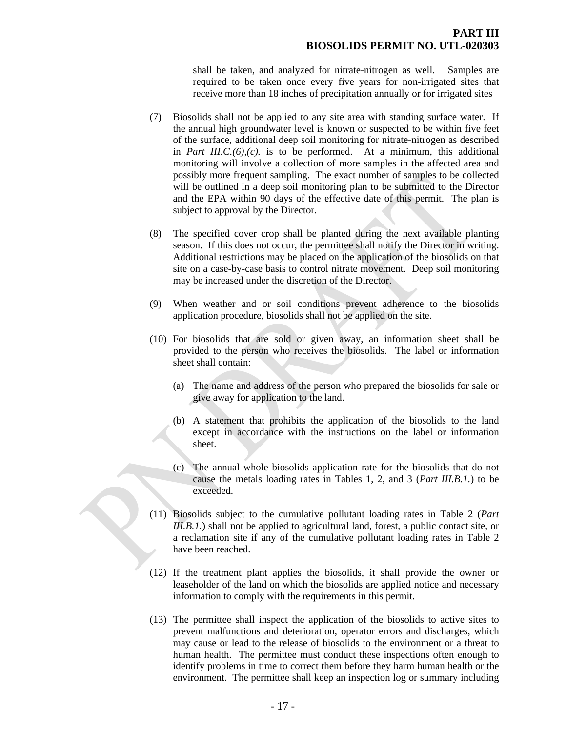shall be taken, and analyzed for nitrate-nitrogen as well. Samples are required to be taken once every five years for non-irrigated sites that receive more than 18 inches of precipitation annually or for irrigated sites

- (7) Biosolids shall not be applied to any site area with standing surface water. If the annual high groundwater level is known or suspected to be within five feet of the surface, additional deep soil monitoring for nitrate-nitrogen as described in *Part III.C.*( $6$ ), $(c)$ . is to be performed. At a minimum, this additional monitoring will involve a collection of more samples in the affected area and possibly more frequent sampling. The exact number of samples to be collected will be outlined in a deep soil monitoring plan to be submitted to the Director and the EPA within 90 days of the effective date of this permit. The plan is subject to approval by the Director.
- (8) The specified cover crop shall be planted during the next available planting season. If this does not occur, the permittee shall notify the Director in writing. Additional restrictions may be placed on the application of the biosolids on that site on a case-by-case basis to control nitrate movement. Deep soil monitoring may be increased under the discretion of the Director.
- (9) When weather and or soil conditions prevent adherence to the biosolids application procedure, biosolids shall not be applied on the site.
- (10) For biosolids that are sold or given away, an information sheet shall be provided to the person who receives the biosolids. The label or information sheet shall contain:
	- (a) The name and address of the person who prepared the biosolids for sale or give away for application to the land.
	- (b) A statement that prohibits the application of the biosolids to the land except in accordance with the instructions on the label or information sheet.
	- (c) The annual whole biosolids application rate for the biosolids that do not cause the metals loading rates in Tables 1, 2, and 3 (*Part III.B.1.*) to be exceeded.
- (11) Biosolids subject to the cumulative pollutant loading rates in Table 2 (*Part III.B.1.*) shall not be applied to agricultural land, forest, a public contact site, or a reclamation site if any of the cumulative pollutant loading rates in Table 2 have been reached.
- (12) If the treatment plant applies the biosolids, it shall provide the owner or leaseholder of the land on which the biosolids are applied notice and necessary information to comply with the requirements in this permit.
- (13) The permittee shall inspect the application of the biosolids to active sites to prevent malfunctions and deterioration, operator errors and discharges, which may cause or lead to the release of biosolids to the environment or a threat to human health. The permittee must conduct these inspections often enough to identify problems in time to correct them before they harm human health or the environment. The permittee shall keep an inspection log or summary including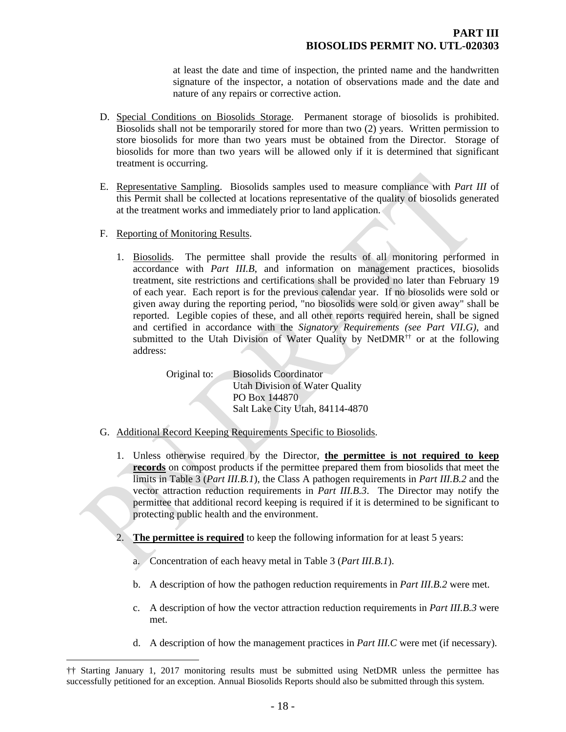<span id="page-20-0"></span>at least the date and time of inspection, the printed name and the handwritten signature of the inspector, a notation of observations made and the date and nature of any repairs or corrective action.

- D. Special Conditions on Biosolids Storage. Permanent storage of biosolids is prohibited. Biosolids shall not be temporarily stored for more than two (2) years. Written permission to store biosolids for more than two years must be obtained from the Director. Storage of biosolids for more than two years will be allowed only if it is determined that significant treatment is occurring.
- <span id="page-20-1"></span>E. Representative Sampling. Biosolids samples used to measure compliance with *Part III* of this Permit shall be collected at locations representative of the quality of biosolids generated at the treatment works and immediately prior to land application.
- <span id="page-20-2"></span>F. Reporting of Monitoring Results.
	- 1. Biosolids. The permittee shall provide the results of all monitoring performed in accordance with *Part III.B*, and information on management practices, biosolids treatment, site restrictions and certifications shall be provided no later than February 19 of each year. Each report is for the previous calendar year. If no biosolids were sold or given away during the reporting period, "no biosolids were sold or given away" shall be reported. Legible copies of these, and all other reports required herein, shall be signed and certified in accordance with the *Signatory Requirements (see Part VII.G)*, and submitted to the Utah Division of Water Quality by NetDMR<sup>††</sup> or at the following address:

<span id="page-20-3"></span>Original to: Biosolids Coordinator Utah Division of Water Quality PO Box 144870 Salt Lake City Utah, 84114-4870

- G. Additional Record Keeping Requirements Specific to Biosolids.
	- 1. Unless otherwise required by the Director, **the permittee is not required to keep records** on compost products if the permittee prepared them from biosolids that meet the limits in Table 3 (*Part III.B.1*), the Class A pathogen requirements in *Part III.B.2* and the vector attraction reduction requirements in *Part III.B.3*. The Director may notify the permittee that additional record keeping is required if it is determined to be significant to protecting public health and the environment.
	- 2. **The permittee is required** to keep the following information for at least 5 years:
		- a. Concentration of each heavy metal in Table 3 (*Part III.B.1*).
		- b. A description of how the pathogen reduction requirements in *Part III.B.2* were met.
		- c. A description of how the vector attraction reduction requirements in *Part III.B.3* were met.
		- d. A description of how the management practices in *Part III.C* were met (if necessary).

<sup>††</sup> Starting January 1, 2017 monitoring results must be submitted using NetDMR unless the permittee has successfully petitioned for an exception. Annual Biosolids Reports should also be submitted through this system.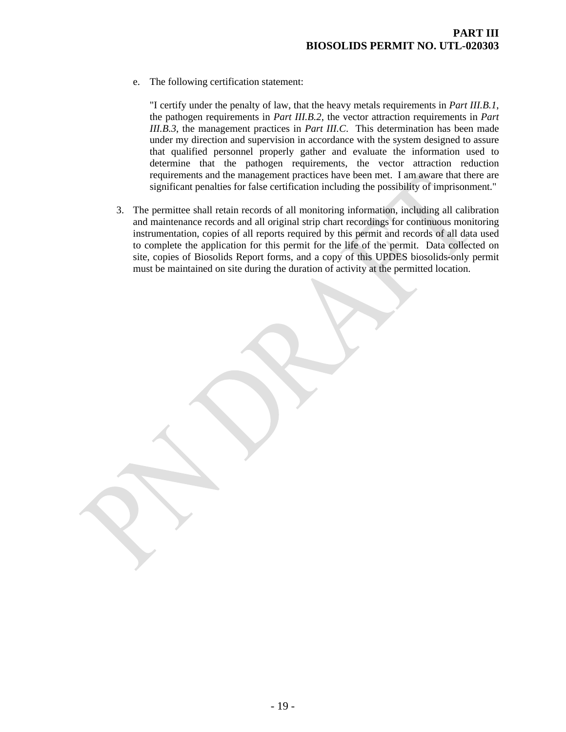e. The following certification statement:

"I certify under the penalty of law, that the heavy metals requirements in *Part III.B.1*, the pathogen requirements in *Part III.B.2*, the vector attraction requirements in *Part III.B.3*, the management practices in *Part III.C*. This determination has been made under my direction and supervision in accordance with the system designed to assure that qualified personnel properly gather and evaluate the information used to determine that the pathogen requirements, the vector attraction reduction requirements and the management practices have been met. I am aware that there are significant penalties for false certification including the possibility of imprisonment."

3. The permittee shall retain records of all monitoring information, including all calibration and maintenance records and all original strip chart recordings for continuous monitoring instrumentation, copies of all reports required by this permit and records of all data used to complete the application for this permit for the life of the permit. Data collected on site, copies of Biosolids Report forms, and a copy of this UPDES biosolids-only permit must be maintained on site during the duration of activity at the permitted location.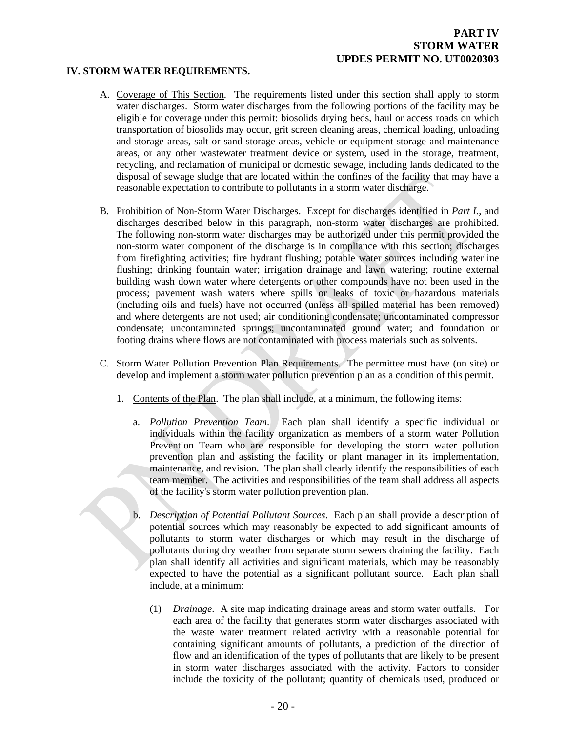## **IV. STORM WATER REQUIREMENTS.**

- <span id="page-22-1"></span><span id="page-22-0"></span>A. Coverage of This Section. The requirements listed under this section shall apply to storm water discharges. Storm water discharges from the following portions of the facility may be eligible for coverage under this permit: biosolids drying beds, haul or access roads on which transportation of biosolids may occur, grit screen cleaning areas, chemical loading, unloading and storage areas, salt or sand storage areas, vehicle or equipment storage and maintenance areas, or any other wastewater treatment device or system, used in the storage, treatment, recycling, and reclamation of municipal or domestic sewage, including lands dedicated to the disposal of sewage sludge that are located within the confines of the facility that may have a reasonable expectation to contribute to pollutants in a storm water discharge.
- <span id="page-22-2"></span>B. Prohibition of Non-Storm Water Discharges. Except for discharges identified in *Part I.*, and discharges described below in this paragraph, non-storm water discharges are prohibited. The following non-storm water discharges may be authorized under this permit provided the non-storm water component of the discharge is in compliance with this section; discharges from firefighting activities; fire hydrant flushing; potable water sources including waterline flushing; drinking fountain water; irrigation drainage and lawn watering; routine external building wash down water where detergents or other compounds have not been used in the process; pavement wash waters where spills or leaks of toxic or hazardous materials (including oils and fuels) have not occurred (unless all spilled material has been removed) and where detergents are not used; air conditioning condensate; uncontaminated compressor condensate; uncontaminated springs; uncontaminated ground water; and foundation or footing drains where flows are not contaminated with process materials such as solvents.
- <span id="page-22-3"></span>C. Storm Water Pollution Prevention Plan Requirements. The permittee must have (on site) or develop and implement a storm water pollution prevention plan as a condition of this permit.
	- 1. Contents of the Plan. The plan shall include, at a minimum, the following items:
		- a. *Pollution Prevention Team*. Each plan shall identify a specific individual or individuals within the facility organization as members of a storm water Pollution Prevention Team who are responsible for developing the storm water pollution prevention plan and assisting the facility or plant manager in its implementation, maintenance, and revision. The plan shall clearly identify the responsibilities of each team member. The activities and responsibilities of the team shall address all aspects of the facility's storm water pollution prevention plan.
		- b. *Description of Potential Pollutant Sources*. Each plan shall provide a description of potential sources which may reasonably be expected to add significant amounts of pollutants to storm water discharges or which may result in the discharge of pollutants during dry weather from separate storm sewers draining the facility. Each plan shall identify all activities and significant materials, which may be reasonably expected to have the potential as a significant pollutant source. Each plan shall include, at a minimum:
			- (1) *Drainage*. A site map indicating drainage areas and storm water outfalls. For each area of the facility that generates storm water discharges associated with the waste water treatment related activity with a reasonable potential for containing significant amounts of pollutants, a prediction of the direction of flow and an identification of the types of pollutants that are likely to be present in storm water discharges associated with the activity. Factors to consider include the toxicity of the pollutant; quantity of chemicals used, produced or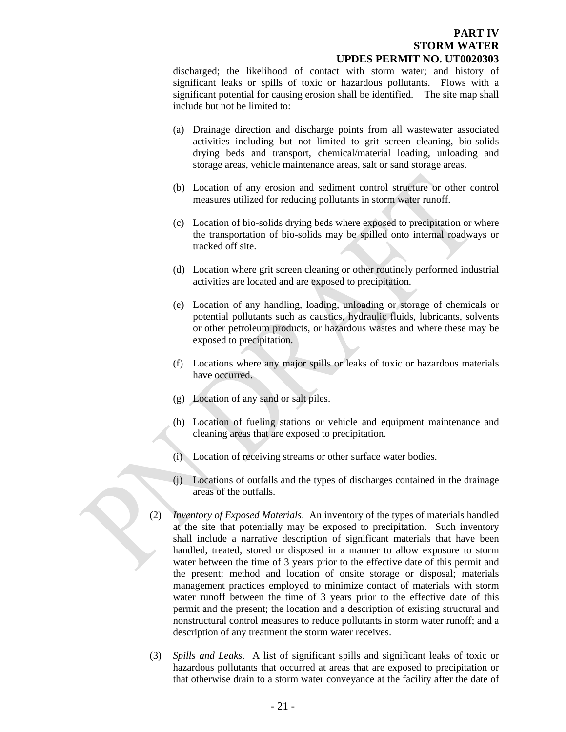discharged; the likelihood of contact with storm water; and history of significant leaks or spills of toxic or hazardous pollutants. Flows with a significant potential for causing erosion shall be identified. The site map shall include but not be limited to:

- (a) Drainage direction and discharge points from all wastewater associated activities including but not limited to grit screen cleaning, bio-solids drying beds and transport, chemical/material loading, unloading and storage areas, vehicle maintenance areas, salt or sand storage areas.
- (b) Location of any erosion and sediment control structure or other control measures utilized for reducing pollutants in storm water runoff.
- (c) Location of bio-solids drying beds where exposed to precipitation or where the transportation of bio-solids may be spilled onto internal roadways or tracked off site.
- (d) Location where grit screen cleaning or other routinely performed industrial activities are located and are exposed to precipitation.
- (e) Location of any handling, loading, unloading or storage of chemicals or potential pollutants such as caustics, hydraulic fluids, lubricants, solvents or other petroleum products, or hazardous wastes and where these may be exposed to precipitation.
- (f) Locations where any major spills or leaks of toxic or hazardous materials have occurred.
- (g) Location of any sand or salt piles.
- (h) Location of fueling stations or vehicle and equipment maintenance and cleaning areas that are exposed to precipitation.
- (i) Location of receiving streams or other surface water bodies.
- (j) Locations of outfalls and the types of discharges contained in the drainage areas of the outfalls.
- (2) *Inventory of Exposed Materials*. An inventory of the types of materials handled at the site that potentially may be exposed to precipitation. Such inventory shall include a narrative description of significant materials that have been handled, treated, stored or disposed in a manner to allow exposure to storm water between the time of 3 years prior to the effective date of this permit and the present; method and location of onsite storage or disposal; materials management practices employed to minimize contact of materials with storm water runoff between the time of 3 years prior to the effective date of this permit and the present; the location and a description of existing structural and nonstructural control measures to reduce pollutants in storm water runoff; and a description of any treatment the storm water receives.
- (3) *Spills and Leaks*. A list of significant spills and significant leaks of toxic or hazardous pollutants that occurred at areas that are exposed to precipitation or that otherwise drain to a storm water conveyance at the facility after the date of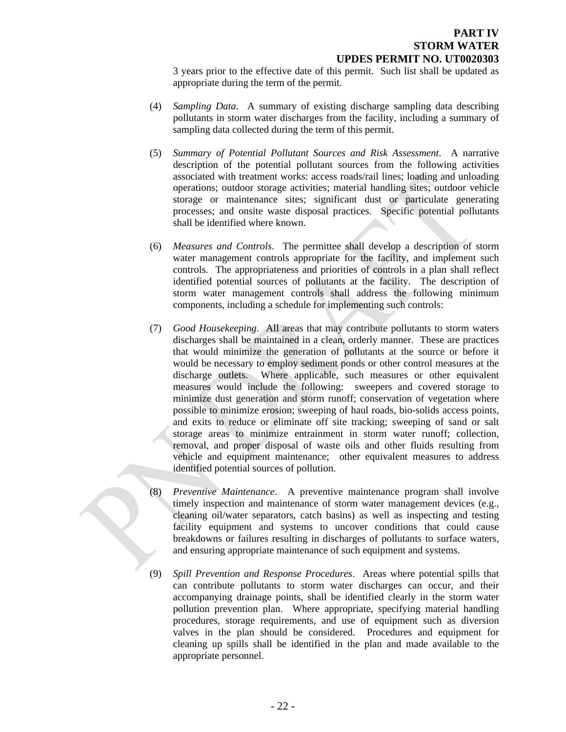3 years prior to the effective date of this permit. Such list shall be updated as appropriate during the term of the permit.

- (4) *Sampling Data*. A summary of existing discharge sampling data describing pollutants in storm water discharges from the facility, including a summary of sampling data collected during the term of this permit.
- (5) *Summary of Potential Pollutant Sources and Risk Assessment*. A narrative description of the potential pollutant sources from the following activities associated with treatment works: access roads/rail lines; loading and unloading operations; outdoor storage activities; material handling sites; outdoor vehicle storage or maintenance sites; significant dust or particulate generating processes; and onsite waste disposal practices. Specific potential pollutants shall be identified where known.
- (6) *Measures and Controls*. The permittee shall develop a description of storm water management controls appropriate for the facility, and implement such controls. The appropriateness and priorities of controls in a plan shall reflect identified potential sources of pollutants at the facility. The description of storm water management controls shall address the following minimum components, including a schedule for implementing such controls:
- (7) *Good Housekeeping*. All areas that may contribute pollutants to storm waters discharges shall be maintained in a clean, orderly manner. These are practices that would minimize the generation of pollutants at the source or before it would be necessary to employ sediment ponds or other control measures at the discharge outlets. Where applicable, such measures or other equivalent measures would include the following: sweepers and covered storage to minimize dust generation and storm runoff; conservation of vegetation where possible to minimize erosion; sweeping of haul roads, bio-solids access points, and exits to reduce or eliminate off site tracking; sweeping of sand or salt storage areas to minimize entrainment in storm water runoff; collection, removal, and proper disposal of waste oils and other fluids resulting from vehicle and equipment maintenance; other equivalent measures to address identified potential sources of pollution.
- (8) *Preventive Maintenance*. A preventive maintenance program shall involve timely inspection and maintenance of storm water management devices (e.g., cleaning oil/water separators, catch basins) as well as inspecting and testing facility equipment and systems to uncover conditions that could cause breakdowns or failures resulting in discharges of pollutants to surface waters, and ensuring appropriate maintenance of such equipment and systems.
- (9) *Spill Prevention and Response Procedures*. Areas where potential spills that can contribute pollutants to storm water discharges can occur, and their accompanying drainage points, shall be identified clearly in the storm water pollution prevention plan. Where appropriate, specifying material handling procedures, storage requirements, and use of equipment such as diversion valves in the plan should be considered. Procedures and equipment for cleaning up spills shall be identified in the plan and made available to the appropriate personnel.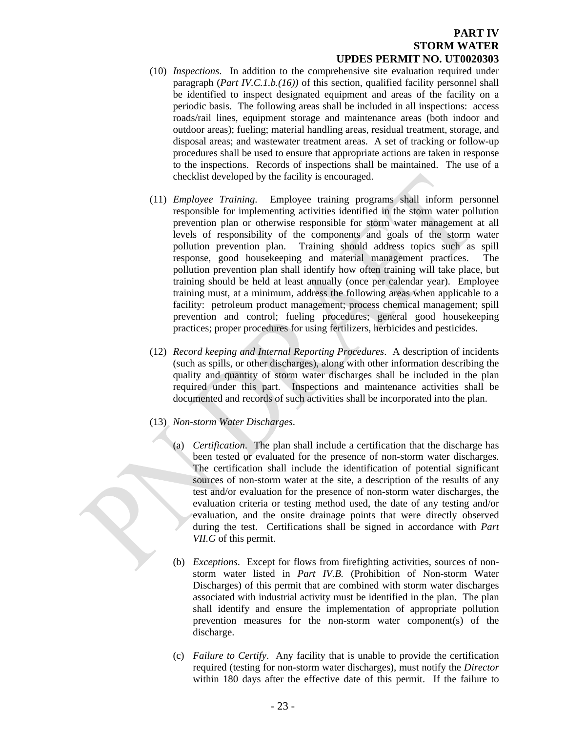- (10) *Inspections*. In addition to the comprehensive site evaluation required under paragraph (*Part IV.C.1.b.(16))* of this section, qualified facility personnel shall be identified to inspect designated equipment and areas of the facility on a periodic basis. The following areas shall be included in all inspections: access roads/rail lines, equipment storage and maintenance areas (both indoor and outdoor areas); fueling; material handling areas, residual treatment, storage, and disposal areas; and wastewater treatment areas. A set of tracking or follow-up procedures shall be used to ensure that appropriate actions are taken in response to the inspections. Records of inspections shall be maintained. The use of a checklist developed by the facility is encouraged.
- (11) *Employee Training*. Employee training programs shall inform personnel responsible for implementing activities identified in the storm water pollution prevention plan or otherwise responsible for storm water management at all levels of responsibility of the components and goals of the storm water pollution prevention plan. Training should address topics such as spill response, good housekeeping and material management practices. The pollution prevention plan shall identify how often training will take place, but training should be held at least annually (once per calendar year). Employee training must, at a minimum, address the following areas when applicable to a facility: petroleum product management; process chemical management; spill prevention and control; fueling procedures; general good housekeeping practices; proper procedures for using fertilizers, herbicides and pesticides.
- (12) *Record keeping and Internal Reporting Procedures*. A description of incidents (such as spills, or other discharges), along with other information describing the quality and quantity of storm water discharges shall be included in the plan required under this part. Inspections and maintenance activities shall be documented and records of such activities shall be incorporated into the plan.
- (13) *Non-storm Water Discharges*.
	- (a) *Certification*. The plan shall include a certification that the discharge has been tested or evaluated for the presence of non-storm water discharges. The certification shall include the identification of potential significant sources of non-storm water at the site, a description of the results of any test and/or evaluation for the presence of non-storm water discharges, the evaluation criteria or testing method used, the date of any testing and/or evaluation, and the onsite drainage points that were directly observed during the test. Certifications shall be signed in accordance with *Part VII.G* of this permit.
	- (b) *Exceptions*. Except for flows from firefighting activities, sources of nonstorm water listed in *Part IV.B.* (Prohibition of Non-storm Water Discharges) of this permit that are combined with storm water discharges associated with industrial activity must be identified in the plan. The plan shall identify and ensure the implementation of appropriate pollution prevention measures for the non-storm water component(s) of the discharge.
	- (c) *Failure to Certify*. Any facility that is unable to provide the certification required (testing for non-storm water discharges), must notify the *Director* within 180 days after the effective date of this permit. If the failure to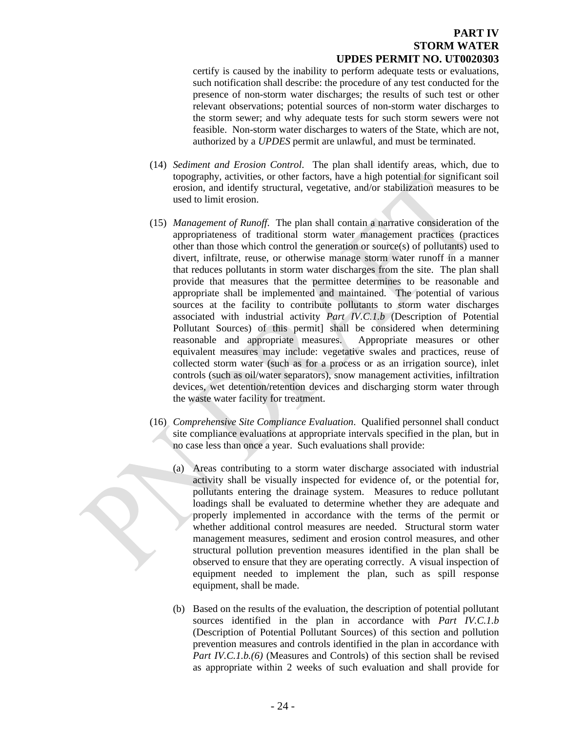certify is caused by the inability to perform adequate tests or evaluations, such notification shall describe: the procedure of any test conducted for the presence of non-storm water discharges; the results of such test or other relevant observations; potential sources of non-storm water discharges to the storm sewer; and why adequate tests for such storm sewers were not feasible. Non-storm water discharges to waters of the State, which are not, authorized by a *UPDES* permit are unlawful, and must be terminated.

- (14) *Sediment and Erosion Control*. The plan shall identify areas, which, due to topography, activities, or other factors, have a high potential for significant soil erosion, and identify structural, vegetative, and/or stabilization measures to be used to limit erosion.
- (15) *Management of Runoff*. The plan shall contain a narrative consideration of the appropriateness of traditional storm water management practices (practices other than those which control the generation or source(s) of pollutants) used to divert, infiltrate, reuse, or otherwise manage storm water runoff in a manner that reduces pollutants in storm water discharges from the site. The plan shall provide that measures that the permittee determines to be reasonable and appropriate shall be implemented and maintained. The potential of various sources at the facility to contribute pollutants to storm water discharges associated with industrial activity *Part IV.C.1.b* (Description of Potential Pollutant Sources) of this permit] shall be considered when determining reasonable and appropriate measures. Appropriate measures or other equivalent measures may include: vegetative swales and practices, reuse of collected storm water (such as for a process or as an irrigation source), inlet controls (such as oil/water separators), snow management activities, infiltration devices, wet detention/retention devices and discharging storm water through the waste water facility for treatment.
- (16) *Comprehensive Site Compliance Evaluation*. Qualified personnel shall conduct site compliance evaluations at appropriate intervals specified in the plan, but in no case less than once a year. Such evaluations shall provide:
	- (a) Areas contributing to a storm water discharge associated with industrial activity shall be visually inspected for evidence of, or the potential for, pollutants entering the drainage system. Measures to reduce pollutant loadings shall be evaluated to determine whether they are adequate and properly implemented in accordance with the terms of the permit or whether additional control measures are needed. Structural storm water management measures, sediment and erosion control measures, and other structural pollution prevention measures identified in the plan shall be observed to ensure that they are operating correctly. A visual inspection of equipment needed to implement the plan, such as spill response equipment, shall be made.
	- (b) Based on the results of the evaluation, the description of potential pollutant sources identified in the plan in accordance with *Part IV.C.1.b* (Description of Potential Pollutant Sources) of this section and pollution prevention measures and controls identified in the plan in accordance with *Part IV.C.1.b.(6)* (Measures and Controls) of this section shall be revised as appropriate within 2 weeks of such evaluation and shall provide for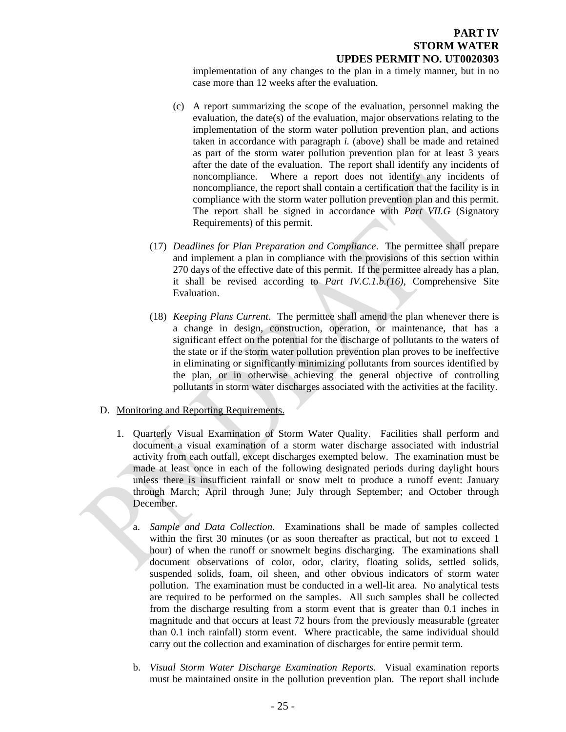implementation of any changes to the plan in a timely manner, but in no case more than 12 weeks after the evaluation.

- (c) A report summarizing the scope of the evaluation, personnel making the evaluation, the date(s) of the evaluation, major observations relating to the implementation of the storm water pollution prevention plan, and actions taken in accordance with paragraph *i.* (above) shall be made and retained as part of the storm water pollution prevention plan for at least 3 years after the date of the evaluation. The report shall identify any incidents of noncompliance. Where a report does not identify any incidents of noncompliance, the report shall contain a certification that the facility is in compliance with the storm water pollution prevention plan and this permit. The report shall be signed in accordance with *Part VII.G* (Signatory Requirements) of this permit.
- (17) *Deadlines for Plan Preparation and Compliance*. The permittee shall prepare and implement a plan in compliance with the provisions of this section within 270 days of the effective date of this permit. If the permittee already has a plan, it shall be revised according to *Part IV.C.1.b.(16)*, Comprehensive Site Evaluation.
- <span id="page-27-0"></span>(18) *Keeping Plans Current*. The permittee shall amend the plan whenever there is a change in design, construction, operation, or maintenance, that has a significant effect on the potential for the discharge of pollutants to the waters of the state or if the storm water pollution prevention plan proves to be ineffective in eliminating or significantly minimizing pollutants from sources identified by the plan, or in otherwise achieving the general objective of controlling pollutants in storm water discharges associated with the activities at the facility.

# D. Monitoring and Reporting Requirements.

- 1. Quarterly Visual Examination of Storm Water Quality. Facilities shall perform and document a visual examination of a storm water discharge associated with industrial activity from each outfall, except discharges exempted below. The examination must be made at least once in each of the following designated periods during daylight hours unless there is insufficient rainfall or snow melt to produce a runoff event: January through March; April through June; July through September; and October through December.
	- a. *Sample and Data Collection*. Examinations shall be made of samples collected within the first 30 minutes (or as soon thereafter as practical, but not to exceed 1 hour) of when the runoff or snowmelt begins discharging. The examinations shall document observations of color, odor, clarity, floating solids, settled solids, suspended solids, foam, oil sheen, and other obvious indicators of storm water pollution. The examination must be conducted in a well-lit area. No analytical tests are required to be performed on the samples. All such samples shall be collected from the discharge resulting from a storm event that is greater than 0.1 inches in magnitude and that occurs at least 72 hours from the previously measurable (greater than 0.1 inch rainfall) storm event. Where practicable, the same individual should carry out the collection and examination of discharges for entire permit term.
	- b. *Visual Storm Water Discharge Examination Reports*. Visual examination reports must be maintained onsite in the pollution prevention plan. The report shall include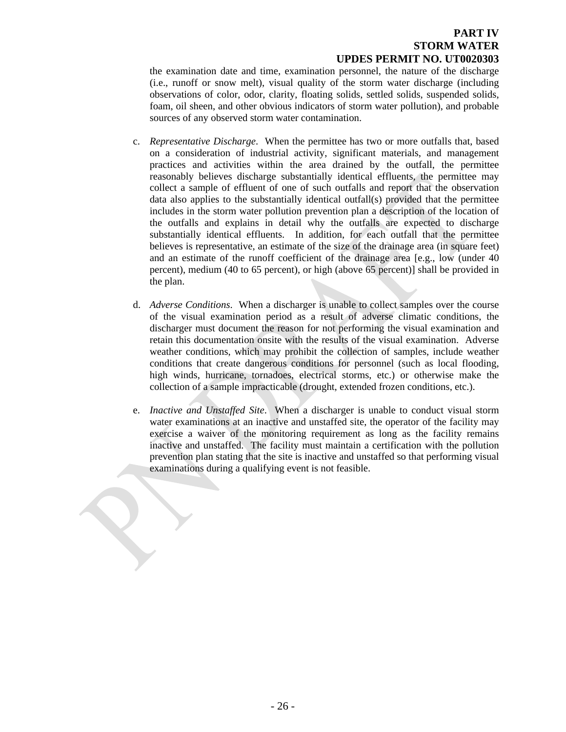the examination date and time, examination personnel, the nature of the discharge (i.e., runoff or snow melt), visual quality of the storm water discharge (including observations of color, odor, clarity, floating solids, settled solids, suspended solids, foam, oil sheen, and other obvious indicators of storm water pollution), and probable sources of any observed storm water contamination.

- c. *Representative Discharge*. When the permittee has two or more outfalls that, based on a consideration of industrial activity, significant materials, and management practices and activities within the area drained by the outfall, the permittee reasonably believes discharge substantially identical effluents, the permittee may collect a sample of effluent of one of such outfalls and report that the observation data also applies to the substantially identical outfall(s) provided that the permittee includes in the storm water pollution prevention plan a description of the location of the outfalls and explains in detail why the outfalls are expected to discharge substantially identical effluents. In addition, for each outfall that the permittee believes is representative, an estimate of the size of the drainage area (in square feet) and an estimate of the runoff coefficient of the drainage area [e.g., low (under 40 percent), medium (40 to 65 percent), or high (above 65 percent)] shall be provided in the plan.
- d. *Adverse Conditions*. When a discharger is unable to collect samples over the course of the visual examination period as a result of adverse climatic conditions, the discharger must document the reason for not performing the visual examination and retain this documentation onsite with the results of the visual examination. Adverse weather conditions, which may prohibit the collection of samples, include weather conditions that create dangerous conditions for personnel (such as local flooding, high winds, hurricane, tornadoes, electrical storms, etc.) or otherwise make the collection of a sample impracticable (drought, extended frozen conditions, etc.).
- e. *Inactive and Unstaffed Site*. When a discharger is unable to conduct visual storm water examinations at an inactive and unstaffed site, the operator of the facility may exercise a waiver of the monitoring requirement as long as the facility remains inactive and unstaffed. The facility must maintain a certification with the pollution prevention plan stating that the site is inactive and unstaffed so that performing visual examinations during a qualifying event is not feasible.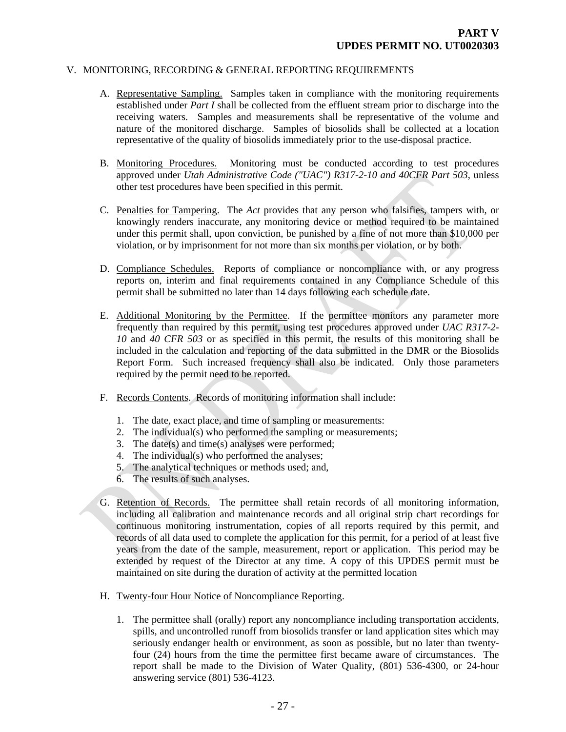#### V. MONITORING, RECORDING & GENERAL REPORTING REQUIREMENTS

- <span id="page-29-1"></span><span id="page-29-0"></span>A. Representative Sampling. Samples taken in compliance with the monitoring requirements established under *Part I* shall be collected from the effluent stream prior to discharge into the receiving waters. Samples and measurements shall be representative of the volume and nature of the monitored discharge. Samples of biosolids shall be collected at a location representative of the quality of biosolids immediately prior to the use-disposal practice.
- <span id="page-29-2"></span>B. Monitoring Procedures. Monitoring must be conducted according to test procedures approved under *Utah Administrative Code ("UAC") R317-2-10 and 40CFR Part 503*, unless other test procedures have been specified in this permit.
- <span id="page-29-3"></span>C. Penalties for Tampering. The *Act* provides that any person who falsifies, tampers with, or knowingly renders inaccurate, any monitoring device or method required to be maintained under this permit shall, upon conviction, be punished by a fine of not more than \$10,000 per violation, or by imprisonment for not more than six months per violation, or by both.
- <span id="page-29-4"></span>D. Compliance Schedules. Reports of compliance or noncompliance with, or any progress reports on, interim and final requirements contained in any Compliance Schedule of this permit shall be submitted no later than 14 days following each schedule date.
- <span id="page-29-5"></span>E. Additional Monitoring by the Permittee. If the permittee monitors any parameter more frequently than required by this permit, using test procedures approved under *UAC R317-2- 10* and *40 CFR 503* or as specified in this permit, the results of this monitoring shall be included in the calculation and reporting of the data submitted in the DMR or the Biosolids Report Form. Such increased frequency shall also be indicated. Only those parameters required by the permit need to be reported.
- <span id="page-29-6"></span>F. Records Contents. Records of monitoring information shall include:
	- 1. The date, exact place, and time of sampling or measurements:
	- 2. The individual(s) who performed the sampling or measurements;
	- 3. The date(s) and time(s) analyses were performed;
	- 4. The individual(s) who performed the analyses;
	- 5. The analytical techniques or methods used; and,
	- 6. The results of such analyses.
- <span id="page-29-7"></span>G. Retention of Records. The permittee shall retain records of all monitoring information, including all calibration and maintenance records and all original strip chart recordings for continuous monitoring instrumentation, copies of all reports required by this permit, and records of all data used to complete the application for this permit, for a period of at least five years from the date of the sample, measurement, report or application. This period may be extended by request of the Director at any time. A copy of this UPDES permit must be maintained on site during the duration of activity at the permitted location
- <span id="page-29-8"></span>H. Twenty-four Hour Notice of Noncompliance Reporting.
	- 1. The permittee shall (orally) report any noncompliance including transportation accidents, spills, and uncontrolled runoff from biosolids transfer or land application sites which may seriously endanger health or environment, as soon as possible, but no later than twentyfour (24) hours from the time the permittee first became aware of circumstances. The report shall be made to the Division of Water Quality, (801) 536-4300, or 24-hour answering service (801) 536-4123.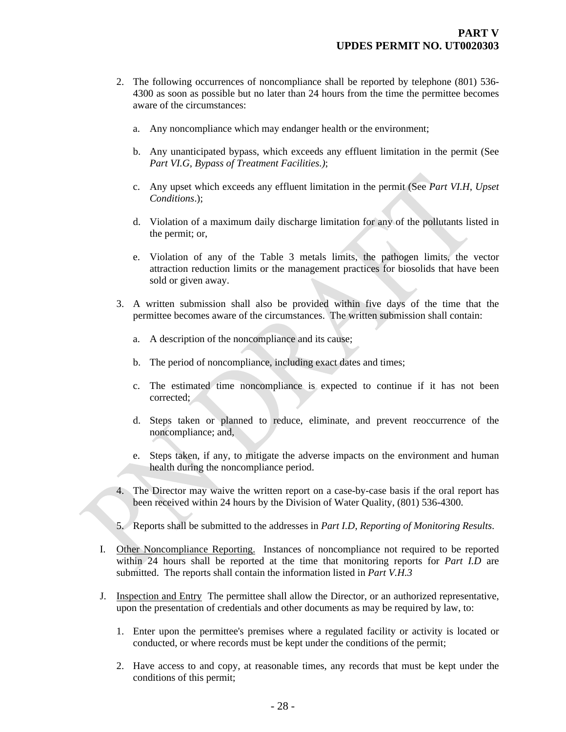- 2. The following occurrences of noncompliance shall be reported by telephone (801) 536- 4300 as soon as possible but no later than 24 hours from the time the permittee becomes aware of the circumstances:
	- a. Any noncompliance which may endanger health or the environment;
	- b. Any unanticipated bypass, which exceeds any effluent limitation in the permit (See *Part VI.G, Bypass of Treatment Facilities.)*;
	- c. Any upset which exceeds any effluent limitation in the permit (See *Part VI.H*, *Upset Conditions*.);
	- d. Violation of a maximum daily discharge limitation for any of the pollutants listed in the permit; or,
	- e. Violation of any of the Table 3 metals limits, the pathogen limits, the vector attraction reduction limits or the management practices for biosolids that have been sold or given away.
- 3. A written submission shall also be provided within five days of the time that the permittee becomes aware of the circumstances. The written submission shall contain:
	- a. A description of the noncompliance and its cause;
	- b. The period of noncompliance, including exact dates and times;
	- c. The estimated time noncompliance is expected to continue if it has not been corrected;
	- d. Steps taken or planned to reduce, eliminate, and prevent reoccurrence of the noncompliance; and,
	- e. Steps taken, if any, to mitigate the adverse impacts on the environment and human health during the noncompliance period.
- 4. The Director may waive the written report on a case-by-case basis if the oral report has been received within 24 hours by the Division of Water Quality, (801) 536-4300.
- <span id="page-30-0"></span>5. Reports shall be submitted to the addresses in *Part I.D*, *Reporting of Monitoring Results*.
- I. Other Noncompliance Reporting. Instances of noncompliance not required to be reported within 24 hours shall be reported at the time that monitoring reports for *Part I.D* are submitted. The reports shall contain the information listed in *Part V.H.3*
- <span id="page-30-1"></span>J. Inspection and Entry The permittee shall allow the Director, or an authorized representative, upon the presentation of credentials and other documents as may be required by law, to:
	- 1. Enter upon the permittee's premises where a regulated facility or activity is located or conducted, or where records must be kept under the conditions of the permit;
	- 2. Have access to and copy, at reasonable times, any records that must be kept under the conditions of this permit;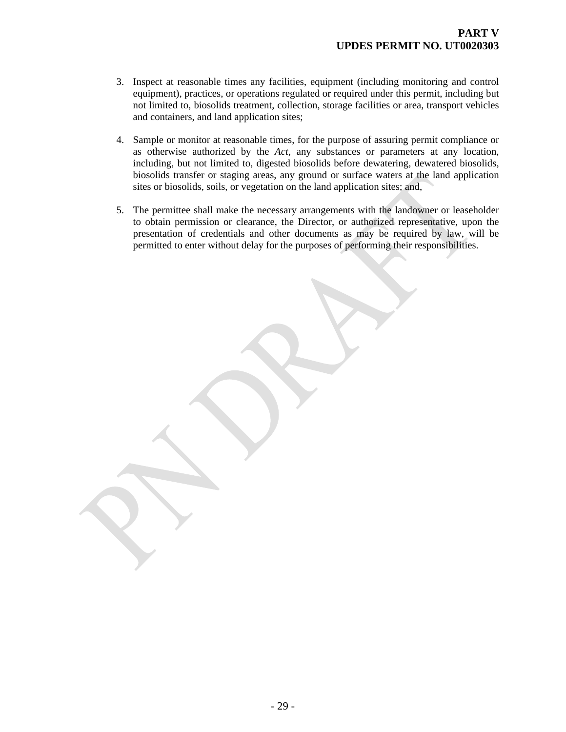- 3. Inspect at reasonable times any facilities, equipment (including monitoring and control equipment), practices, or operations regulated or required under this permit, including but not limited to, biosolids treatment, collection, storage facilities or area, transport vehicles and containers, and land application sites;
- 4. Sample or monitor at reasonable times, for the purpose of assuring permit compliance or as otherwise authorized by the *Act*, any substances or parameters at any location, including, but not limited to, digested biosolids before dewatering, dewatered biosolids, biosolids transfer or staging areas, any ground or surface waters at the land application sites or biosolids, soils, or vegetation on the land application sites; and,
- 5. The permittee shall make the necessary arrangements with the landowner or leaseholder to obtain permission or clearance, the Director, or authorized representative, upon the presentation of credentials and other documents as may be required by law, will be permitted to enter without delay for the purposes of performing their responsibilities.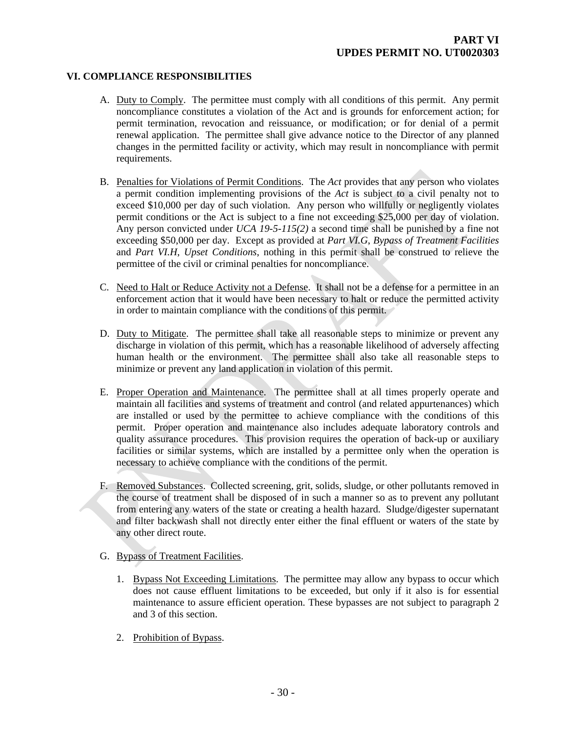# **VI. COMPLIANCE RESPONSIBILITIES**

- <span id="page-32-1"></span><span id="page-32-0"></span>A. Duty to Comply. The permittee must comply with all conditions of this permit. Any permit noncompliance constitutes a violation of the Act and is grounds for enforcement action; for permit termination, revocation and reissuance, or modification; or for denial of a permit renewal application. The permittee shall give advance notice to the Director of any planned changes in the permitted facility or activity, which may result in noncompliance with permit requirements.
- <span id="page-32-2"></span>B. Penalties for Violations of Permit Conditions. The *Act* provides that any person who violates a permit condition implementing provisions of the *Act* is subject to a civil penalty not to exceed \$10,000 per day of such violation. Any person who willfully or negligently violates permit conditions or the Act is subject to a fine not exceeding \$25,000 per day of violation. Any person convicted under *UCA 19-5-115(2)* a second time shall be punished by a fine not exceeding \$50,000 per day. Except as provided at *Part VI.G*, *Bypass of Treatment Facilities* and *Part VI.H*, *Upset Conditions*, nothing in this permit shall be construed to relieve the permittee of the civil or criminal penalties for noncompliance.
- <span id="page-32-3"></span>C. Need to Halt or Reduce Activity not a Defense. It shall not be a defense for a permittee in an enforcement action that it would have been necessary to halt or reduce the permitted activity in order to maintain compliance with the conditions of this permit.
- <span id="page-32-4"></span>D. Duty to Mitigate. The permittee shall take all reasonable steps to minimize or prevent any discharge in violation of this permit, which has a reasonable likelihood of adversely affecting human health or the environment. The permittee shall also take all reasonable steps to minimize or prevent any land application in violation of this permit.
- <span id="page-32-5"></span>E. Proper Operation and Maintenance. The permittee shall at all times properly operate and maintain all facilities and systems of treatment and control (and related appurtenances) which are installed or used by the permittee to achieve compliance with the conditions of this permit. Proper operation and maintenance also includes adequate laboratory controls and quality assurance procedures. This provision requires the operation of back-up or auxiliary facilities or similar systems, which are installed by a permittee only when the operation is necessary to achieve compliance with the conditions of the permit.
- <span id="page-32-6"></span>F. Removed Substances. Collected screening, grit, solids, sludge, or other pollutants removed in the course of treatment shall be disposed of in such a manner so as to prevent any pollutant from entering any waters of the state or creating a health hazard. Sludge/digester supernatant and filter backwash shall not directly enter either the final effluent or waters of the state by any other direct route.
- <span id="page-32-7"></span>G. Bypass of Treatment Facilities.
	- 1. Bypass Not Exceeding Limitations. The permittee may allow any bypass to occur which does not cause effluent limitations to be exceeded, but only if it also is for essential maintenance to assure efficient operation. These bypasses are not subject to paragraph 2 and 3 of this section.
	- 2. Prohibition of Bypass.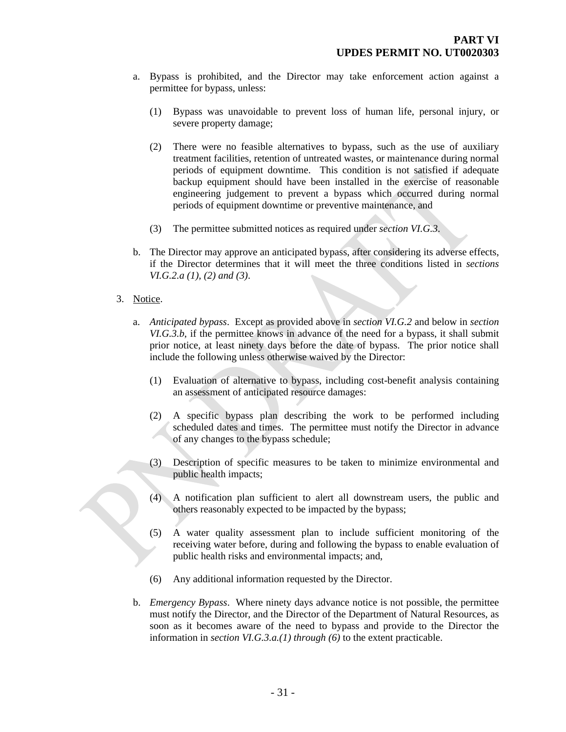- a. Bypass is prohibited, and the Director may take enforcement action against a permittee for bypass, unless:
	- (1) Bypass was unavoidable to prevent loss of human life, personal injury, or severe property damage;
	- (2) There were no feasible alternatives to bypass, such as the use of auxiliary treatment facilities, retention of untreated wastes, or maintenance during normal periods of equipment downtime. This condition is not satisfied if adequate backup equipment should have been installed in the exercise of reasonable engineering judgement to prevent a bypass which occurred during normal periods of equipment downtime or preventive maintenance, and
	- (3) The permittee submitted notices as required under *section VI.G.3*.
- b. The Director may approve an anticipated bypass, after considering its adverse effects, if the Director determines that it will meet the three conditions listed in *sections VI.G.2.a (1), (2) and (3)*.
- 3. Notice.
	- a. *Anticipated bypass*. Except as provided above in *section VI.G.2* and below in *section VI.G.3.b*, if the permittee knows in advance of the need for a bypass, it shall submit prior notice, at least ninety days before the date of bypass. The prior notice shall include the following unless otherwise waived by the Director:
		- (1) Evaluation of alternative to bypass, including cost-benefit analysis containing an assessment of anticipated resource damages:
		- (2) A specific bypass plan describing the work to be performed including scheduled dates and times. The permittee must notify the Director in advance of any changes to the bypass schedule;
		- (3) Description of specific measures to be taken to minimize environmental and public health impacts;
		- (4) A notification plan sufficient to alert all downstream users, the public and others reasonably expected to be impacted by the bypass;
		- (5) A water quality assessment plan to include sufficient monitoring of the receiving water before, during and following the bypass to enable evaluation of public health risks and environmental impacts; and,
		- (6) Any additional information requested by the Director.
	- b. *Emergency Bypass*. Where ninety days advance notice is not possible, the permittee must notify the Director, and the Director of the Department of Natural Resources, as soon as it becomes aware of the need to bypass and provide to the Director the information in *section VI.G.3.a.(1) through (6)* to the extent practicable.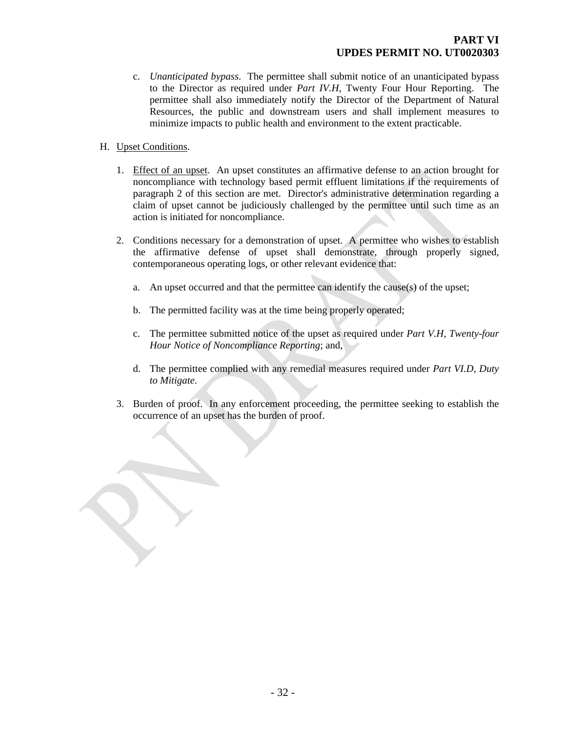- c. *Unanticipated bypass*. The permittee shall submit notice of an unanticipated bypass to the Director as required under *Part IV.H*, Twenty Four Hour Reporting. The permittee shall also immediately notify the Director of the Department of Natural Resources, the public and downstream users and shall implement measures to minimize impacts to public health and environment to the extent practicable.
- <span id="page-34-0"></span>H. Upset Conditions.
	- 1. Effect of an upset. An upset constitutes an affirmative defense to an action brought for noncompliance with technology based permit effluent limitations if the requirements of paragraph 2 of this section are met. Director's administrative determination regarding a claim of upset cannot be judiciously challenged by the permittee until such time as an action is initiated for noncompliance.
	- 2. Conditions necessary for a demonstration of upset. A permittee who wishes to establish the affirmative defense of upset shall demonstrate, through properly signed, contemporaneous operating logs, or other relevant evidence that:
		- a. An upset occurred and that the permittee can identify the cause(s) of the upset;
		- b. The permitted facility was at the time being properly operated;
		- c. The permittee submitted notice of the upset as required under *Part V.H*, *Twenty-four Hour Notice of Noncompliance Reporting*; and,
		- d. The permittee complied with any remedial measures required under *Part VI.D*, *Duty to Mitigate*.
	- 3. Burden of proof. In any enforcement proceeding, the permittee seeking to establish the occurrence of an upset has the burden of proof.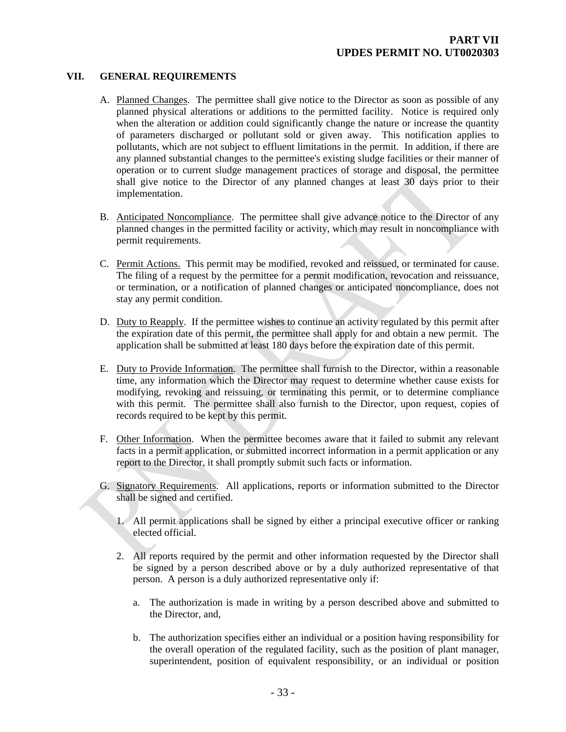## **VII. GENERAL REQUIREMENTS**

- <span id="page-35-1"></span><span id="page-35-0"></span>A. Planned Changes. The permittee shall give notice to the Director as soon as possible of any planned physical alterations or additions to the permitted facility. Notice is required only when the alteration or addition could significantly change the nature or increase the quantity of parameters discharged or pollutant sold or given away. This notification applies to pollutants, which are not subject to effluent limitations in the permit. In addition, if there are any planned substantial changes to the permittee's existing sludge facilities or their manner of operation or to current sludge management practices of storage and disposal, the permittee shall give notice to the Director of any planned changes at least 30 days prior to their implementation.
- <span id="page-35-2"></span>B. Anticipated Noncompliance. The permittee shall give advance notice to the Director of any planned changes in the permitted facility or activity, which may result in noncompliance with permit requirements.
- <span id="page-35-3"></span>C. Permit Actions. This permit may be modified, revoked and reissued, or terminated for cause. The filing of a request by the permittee for a permit modification, revocation and reissuance, or termination, or a notification of planned changes or anticipated noncompliance, does not stay any permit condition.
- <span id="page-35-4"></span>D. Duty to Reapply. If the permittee wishes to continue an activity regulated by this permit after the expiration date of this permit, the permittee shall apply for and obtain a new permit. The application shall be submitted at least 180 days before the expiration date of this permit.
- <span id="page-35-5"></span>E. Duty to Provide Information. The permittee shall furnish to the Director, within a reasonable time, any information which the Director may request to determine whether cause exists for modifying, revoking and reissuing, or terminating this permit, or to determine compliance with this permit. The permittee shall also furnish to the Director, upon request, copies of records required to be kept by this permit.
- <span id="page-35-6"></span>F. Other Information. When the permittee becomes aware that it failed to submit any relevant facts in a permit application, or submitted incorrect information in a permit application or any report to the Director, it shall promptly submit such facts or information.
- <span id="page-35-7"></span>G. Signatory Requirements. All applications, reports or information submitted to the Director shall be signed and certified.
	- 1. All permit applications shall be signed by either a principal executive officer or ranking elected official.
	- 2. All reports required by the permit and other information requested by the Director shall be signed by a person described above or by a duly authorized representative of that person. A person is a duly authorized representative only if:
		- a. The authorization is made in writing by a person described above and submitted to the Director, and,
		- b. The authorization specifies either an individual or a position having responsibility for the overall operation of the regulated facility, such as the position of plant manager, superintendent, position of equivalent responsibility, or an individual or position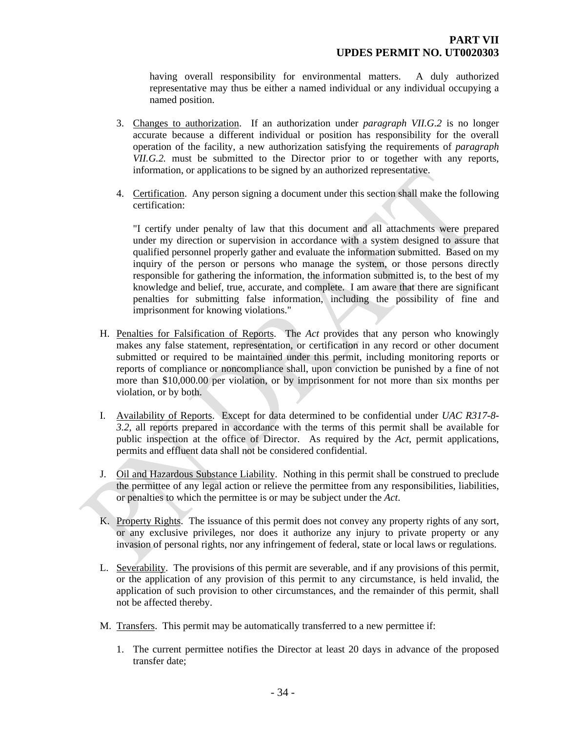having overall responsibility for environmental matters. A duly authorized representative may thus be either a named individual or any individual occupying a named position.

- 3. Changes to authorization. If an authorization under *paragraph VII.G.2* is no longer accurate because a different individual or position has responsibility for the overall operation of the facility, a new authorization satisfying the requirements of *paragraph VII.G.2.* must be submitted to the Director prior to or together with any reports, information, or applications to be signed by an authorized representative.
- 4. Certification. Any person signing a document under this section shall make the following certification:

"I certify under penalty of law that this document and all attachments were prepared under my direction or supervision in accordance with a system designed to assure that qualified personnel properly gather and evaluate the information submitted. Based on my inquiry of the person or persons who manage the system, or those persons directly responsible for gathering the information, the information submitted is, to the best of my knowledge and belief, true, accurate, and complete. I am aware that there are significant penalties for submitting false information, including the possibility of fine and imprisonment for knowing violations."

- <span id="page-36-0"></span>H. Penalties for Falsification of Reports. The *Act* provides that any person who knowingly makes any false statement, representation, or certification in any record or other document submitted or required to be maintained under this permit, including monitoring reports or reports of compliance or noncompliance shall, upon conviction be punished by a fine of not more than \$10,000.00 per violation, or by imprisonment for not more than six months per violation, or by both.
- <span id="page-36-1"></span>I. Availability of Reports. Except for data determined to be confidential under *UAC R317-8- 3.2*, all reports prepared in accordance with the terms of this permit shall be available for public inspection at the office of Director. As required by the *Act*, permit applications, permits and effluent data shall not be considered confidential.
- <span id="page-36-2"></span>J. Oil and Hazardous Substance Liability. Nothing in this permit shall be construed to preclude the permittee of any legal action or relieve the permittee from any responsibilities, liabilities, or penalties to which the permittee is or may be subject under the *Act*.
- <span id="page-36-3"></span>K. Property Rights. The issuance of this permit does not convey any property rights of any sort, or any exclusive privileges, nor does it authorize any injury to private property or any invasion of personal rights, nor any infringement of federal, state or local laws or regulations.
- <span id="page-36-4"></span>L. Severability. The provisions of this permit are severable, and if any provisions of this permit, or the application of any provision of this permit to any circumstance, is held invalid, the application of such provision to other circumstances, and the remainder of this permit, shall not be affected thereby.
- <span id="page-36-5"></span>M. Transfers. This permit may be automatically transferred to a new permittee if:
	- 1. The current permittee notifies the Director at least 20 days in advance of the proposed transfer date;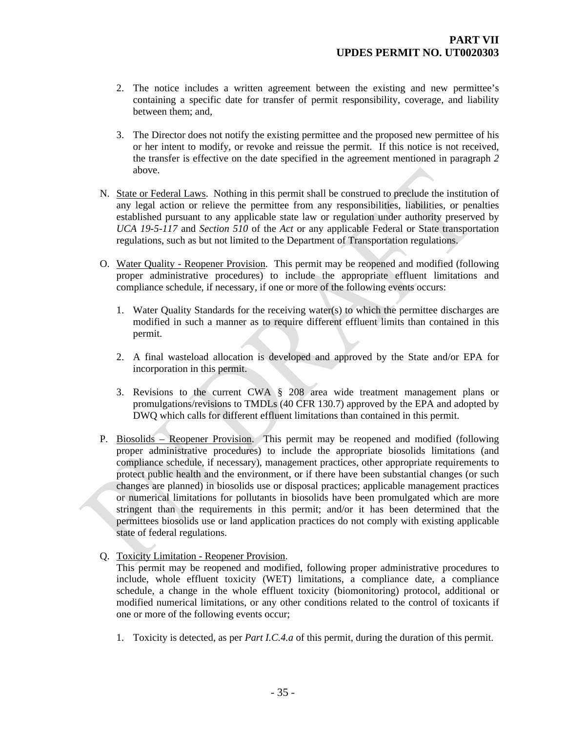- 2. The notice includes a written agreement between the existing and new permittee's containing a specific date for transfer of permit responsibility, coverage, and liability between them; and,
- 3. The Director does not notify the existing permittee and the proposed new permittee of his or her intent to modify, or revoke and reissue the permit. If this notice is not received, the transfer is effective on the date specified in the agreement mentioned in paragraph *2* above.
- <span id="page-37-0"></span>N. State or Federal Laws. Nothing in this permit shall be construed to preclude the institution of any legal action or relieve the permittee from any responsibilities, liabilities, or penalties established pursuant to any applicable state law or regulation under authority preserved by *UCA 19-5-117* and *Section 510* of the *Act* or any applicable Federal or State transportation regulations, such as but not limited to the Department of Transportation regulations.
- <span id="page-37-1"></span>O. Water Quality - Reopener Provision. This permit may be reopened and modified (following proper administrative procedures) to include the appropriate effluent limitations and compliance schedule, if necessary, if one or more of the following events occurs:
	- 1. Water Quality Standards for the receiving water(s) to which the permittee discharges are modified in such a manner as to require different effluent limits than contained in this permit.
	- 2. A final wasteload allocation is developed and approved by the State and/or EPA for incorporation in this permit.
	- 3. Revisions to the current CWA § 208 area wide treatment management plans or promulgations/revisions to TMDLs (40 CFR 130.7) approved by the EPA and adopted by DWQ which calls for different effluent limitations than contained in this permit.
- <span id="page-37-2"></span>P. Biosolids – Reopener Provision. This permit may be reopened and modified (following proper administrative procedures) to include the appropriate biosolids limitations (and compliance schedule, if necessary), management practices, other appropriate requirements to protect public health and the environment, or if there have been substantial changes (or such changes are planned) in biosolids use or disposal practices; applicable management practices or numerical limitations for pollutants in biosolids have been promulgated which are more stringent than the requirements in this permit; and/or it has been determined that the permittees biosolids use or land application practices do not comply with existing applicable state of federal regulations.
- Q. Toxicity Limitation Reopener Provision.

<span id="page-37-3"></span>This permit may be reopened and modified, following proper administrative procedures to include, whole effluent toxicity (WET) limitations, a compliance date, a compliance schedule, a change in the whole effluent toxicity (biomonitoring) protocol, additional or modified numerical limitations, or any other conditions related to the control of toxicants if one or more of the following events occur;

1. Toxicity is detected, as per *Part I.C.4.a* of this permit, during the duration of this permit.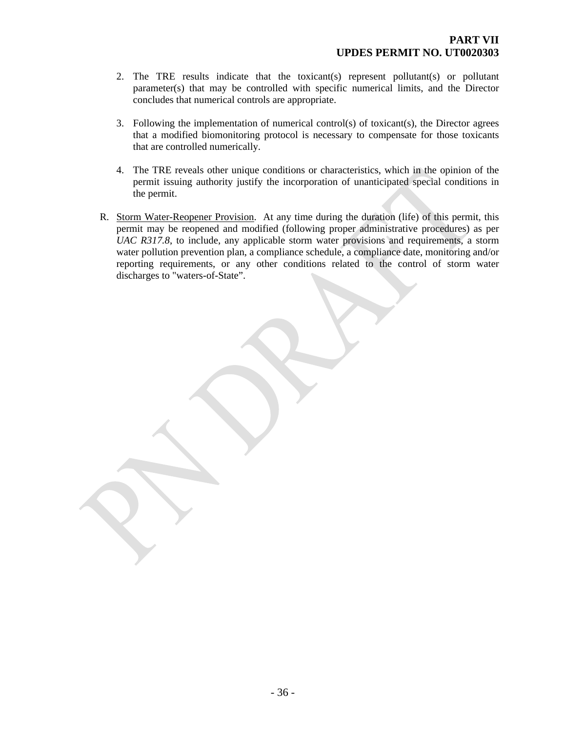- 2. The TRE results indicate that the toxicant(s) represent pollutant(s) or pollutant parameter(s) that may be controlled with specific numerical limits, and the Director concludes that numerical controls are appropriate.
- 3. Following the implementation of numerical control(s) of toxicant(s), the Director agrees that a modified biomonitoring protocol is necessary to compensate for those toxicants that are controlled numerically.
- <span id="page-38-0"></span>4. The TRE reveals other unique conditions or characteristics, which in the opinion of the permit issuing authority justify the incorporation of unanticipated special conditions in the permit.
- R. Storm Water-Reopener Provision. At any time during the duration (life) of this permit, this permit may be reopened and modified (following proper administrative procedures) as per *UAC R317.8*, to include, any applicable storm water provisions and requirements, a storm water pollution prevention plan, a compliance schedule, a compliance date, monitoring and/or reporting requirements, or any other conditions related to the control of storm water discharges to "waters-of-State".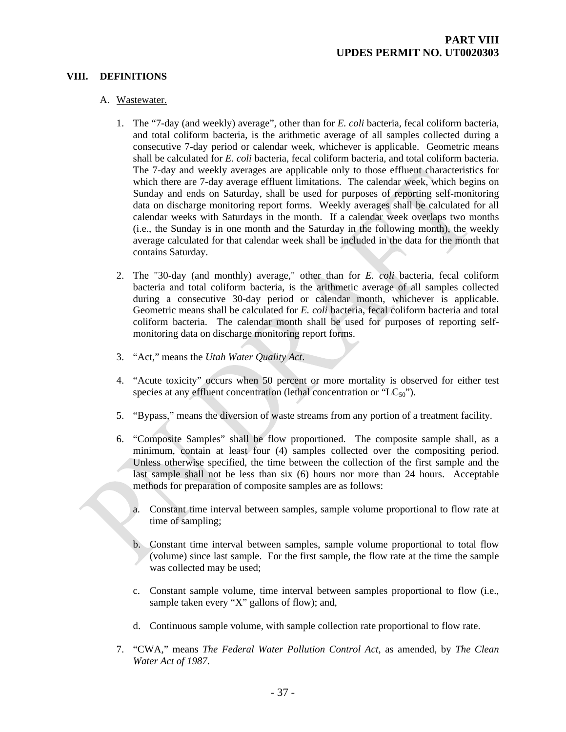#### **VIII. DEFINITIONS**

#### A. Wastewater.

- <span id="page-39-1"></span><span id="page-39-0"></span>1. The "7-day (and weekly) average", other than for *E. coli* bacteria, fecal coliform bacteria, and total coliform bacteria, is the arithmetic average of all samples collected during a consecutive 7-day period or calendar week, whichever is applicable. Geometric means shall be calculated for *E. coli* bacteria, fecal coliform bacteria, and total coliform bacteria. The 7-day and weekly averages are applicable only to those effluent characteristics for which there are 7-day average effluent limitations. The calendar week, which begins on Sunday and ends on Saturday, shall be used for purposes of reporting self-monitoring data on discharge monitoring report forms. Weekly averages shall be calculated for all calendar weeks with Saturdays in the month. If a calendar week overlaps two months (i.e., the Sunday is in one month and the Saturday in the following month), the weekly average calculated for that calendar week shall be included in the data for the month that contains Saturday.
- 2. The "30-day (and monthly) average," other than for *E. coli* bacteria, fecal coliform bacteria and total coliform bacteria, is the arithmetic average of all samples collected during a consecutive 30-day period or calendar month, whichever is applicable. Geometric means shall be calculated for *E. coli* bacteria, fecal coliform bacteria and total coliform bacteria. The calendar month shall be used for purposes of reporting selfmonitoring data on discharge monitoring report forms.
- 3. "Act," means the *Utah Water Quality Act*.
- 4. "Acute toxicity" occurs when 50 percent or more mortality is observed for either test species at any effluent concentration (lethal concentration or  $"LC_{50}"$ ).
- 5. "Bypass," means the diversion of waste streams from any portion of a treatment facility.
- 6. "Composite Samples" shall be flow proportioned. The composite sample shall, as a minimum, contain at least four (4) samples collected over the compositing period. Unless otherwise specified, the time between the collection of the first sample and the last sample shall not be less than six (6) hours nor more than 24 hours. Acceptable methods for preparation of composite samples are as follows:
	- a. Constant time interval between samples, sample volume proportional to flow rate at time of sampling;
	- b. Constant time interval between samples, sample volume proportional to total flow (volume) since last sample. For the first sample, the flow rate at the time the sample was collected may be used;
	- c. Constant sample volume, time interval between samples proportional to flow (i.e., sample taken every "X" gallons of flow); and,
	- d. Continuous sample volume, with sample collection rate proportional to flow rate.
- 7. "CWA," means *The Federal Water Pollution Control Act*, as amended, by *The Clean Water Act of 1987*.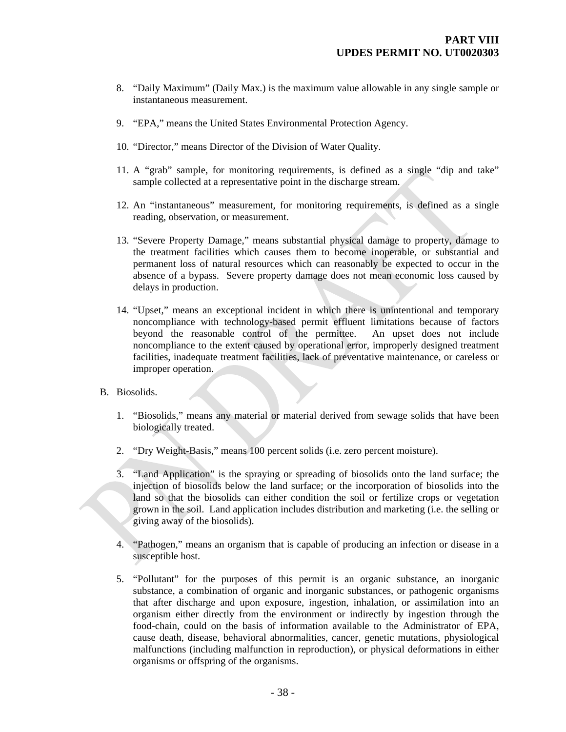- 8. "Daily Maximum" (Daily Max.) is the maximum value allowable in any single sample or instantaneous measurement.
- 9. "EPA," means the United States Environmental Protection Agency.
- 10. "Director," means Director of the Division of Water Quality.
- 11. A "grab" sample, for monitoring requirements, is defined as a single "dip and take" sample collected at a representative point in the discharge stream.
- 12. An "instantaneous" measurement, for monitoring requirements, is defined as a single reading, observation, or measurement.
- 13. "Severe Property Damage," means substantial physical damage to property, damage to the treatment facilities which causes them to become inoperable, or substantial and permanent loss of natural resources which can reasonably be expected to occur in the absence of a bypass. Severe property damage does not mean economic loss caused by delays in production.
- 14. "Upset," means an exceptional incident in which there is unintentional and temporary noncompliance with technology-based permit effluent limitations because of factors beyond the reasonable control of the permittee. An upset does not include noncompliance to the extent caused by operational error, improperly designed treatment facilities, inadequate treatment facilities, lack of preventative maintenance, or careless or improper operation.
- <span id="page-40-0"></span>B. Biosolids.
	- 1. "Biosolids," means any material or material derived from sewage solids that have been biologically treated.
	- 2. "Dry Weight-Basis," means 100 percent solids (i.e. zero percent moisture).
	- 3. "Land Application" is the spraying or spreading of biosolids onto the land surface; the injection of biosolids below the land surface; or the incorporation of biosolids into the land so that the biosolids can either condition the soil or fertilize crops or vegetation grown in the soil. Land application includes distribution and marketing (i.e. the selling or giving away of the biosolids).
	- 4. "Pathogen," means an organism that is capable of producing an infection or disease in a susceptible host.
	- 5. "Pollutant" for the purposes of this permit is an organic substance, an inorganic substance, a combination of organic and inorganic substances, or pathogenic organisms that after discharge and upon exposure, ingestion, inhalation, or assimilation into an organism either directly from the environment or indirectly by ingestion through the food-chain, could on the basis of information available to the Administrator of EPA, cause death, disease, behavioral abnormalities, cancer, genetic mutations, physiological malfunctions (including malfunction in reproduction), or physical deformations in either organisms or offspring of the organisms.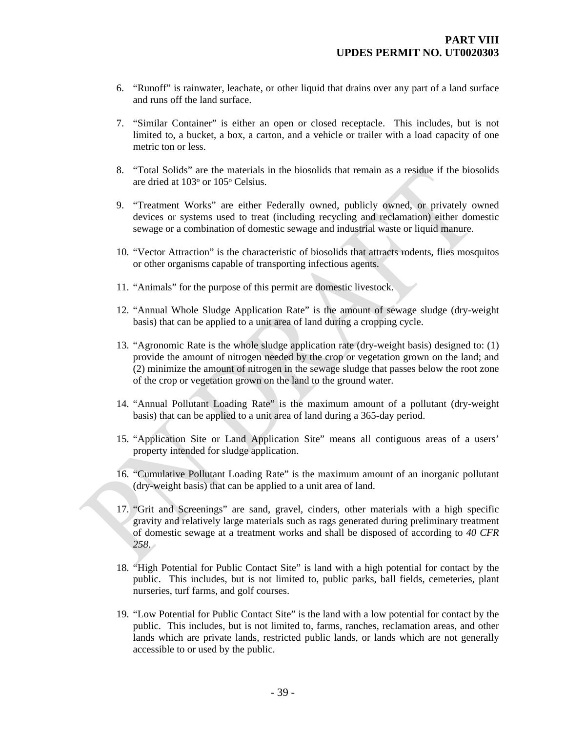- 6. "Runoff" is rainwater, leachate, or other liquid that drains over any part of a land surface and runs off the land surface.
- 7. "Similar Container" is either an open or closed receptacle. This includes, but is not limited to, a bucket, a box, a carton, and a vehicle or trailer with a load capacity of one metric ton or less.
- 8. "Total Solids" are the materials in the biosolids that remain as a residue if the biosolids are dried at 103° or 105° Celsius.
- 9. "Treatment Works" are either Federally owned, publicly owned, or privately owned devices or systems used to treat (including recycling and reclamation) either domestic sewage or a combination of domestic sewage and industrial waste or liquid manure.
- 10. "Vector Attraction" is the characteristic of biosolids that attracts rodents, flies mosquitos or other organisms capable of transporting infectious agents.
- 11. "Animals" for the purpose of this permit are domestic livestock.
- 12. "Annual Whole Sludge Application Rate" is the amount of sewage sludge (dry-weight basis) that can be applied to a unit area of land during a cropping cycle.
- 13. "Agronomic Rate is the whole sludge application rate (dry-weight basis) designed to: (1) provide the amount of nitrogen needed by the crop or vegetation grown on the land; and (2) minimize the amount of nitrogen in the sewage sludge that passes below the root zone of the crop or vegetation grown on the land to the ground water.
- 14. "Annual Pollutant Loading Rate" is the maximum amount of a pollutant (dry-weight basis) that can be applied to a unit area of land during a 365-day period.
- 15. "Application Site or Land Application Site" means all contiguous areas of a users' property intended for sludge application.
- 16. "Cumulative Pollutant Loading Rate" is the maximum amount of an inorganic pollutant (dry-weight basis) that can be applied to a unit area of land.
- 17. "Grit and Screenings" are sand, gravel, cinders, other materials with a high specific gravity and relatively large materials such as rags generated during preliminary treatment of domestic sewage at a treatment works and shall be disposed of according to *40 CFR 258*.
- 18. "High Potential for Public Contact Site" is land with a high potential for contact by the public. This includes, but is not limited to, public parks, ball fields, cemeteries, plant nurseries, turf farms, and golf courses.
- 19. "Low Potential for Public Contact Site" is the land with a low potential for contact by the public. This includes, but is not limited to, farms, ranches, reclamation areas, and other lands which are private lands, restricted public lands, or lands which are not generally accessible to or used by the public.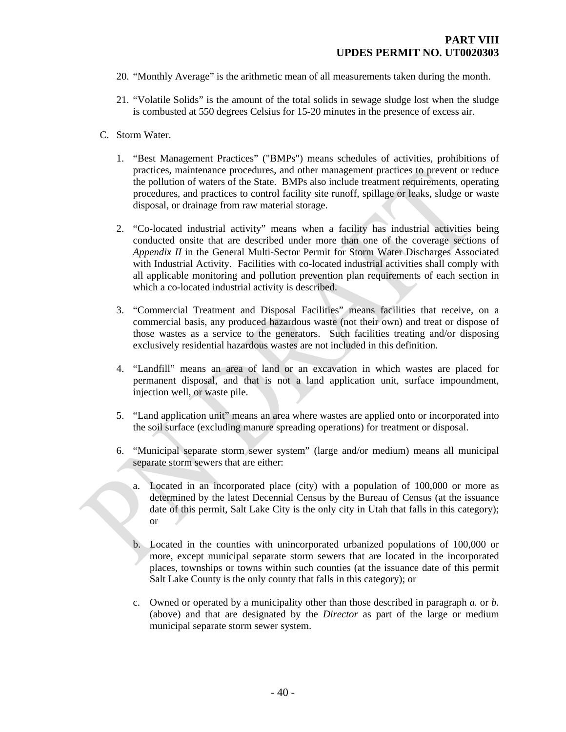- 20. "Monthly Average" is the arithmetic mean of all measurements taken during the month.
- <span id="page-42-0"></span>21. "Volatile Solids" is the amount of the total solids in sewage sludge lost when the sludge is combusted at 550 degrees Celsius for 15-20 minutes in the presence of excess air.
- C. Storm Water.
	- 1. "Best Management Practices" ("BMPs") means schedules of activities, prohibitions of practices, maintenance procedures, and other management practices to prevent or reduce the pollution of waters of the State. BMPs also include treatment requirements, operating procedures, and practices to control facility site runoff, spillage or leaks, sludge or waste disposal, or drainage from raw material storage.
	- 2. "Co-located industrial activity" means when a facility has industrial activities being conducted onsite that are described under more than one of the coverage sections of *Appendix II* in the General Multi-Sector Permit for Storm Water Discharges Associated with Industrial Activity. Facilities with co-located industrial activities shall comply with all applicable monitoring and pollution prevention plan requirements of each section in which a co-located industrial activity is described.
	- 3. "Commercial Treatment and Disposal Facilities" means facilities that receive, on a commercial basis, any produced hazardous waste (not their own) and treat or dispose of those wastes as a service to the generators. Such facilities treating and/or disposing exclusively residential hazardous wastes are not included in this definition.
	- 4. "Landfill" means an area of land or an excavation in which wastes are placed for permanent disposal, and that is not a land application unit, surface impoundment, injection well, or waste pile.
	- 5. "Land application unit" means an area where wastes are applied onto or incorporated into the soil surface (excluding manure spreading operations) for treatment or disposal.
	- 6. "Municipal separate storm sewer system" (large and/or medium) means all municipal separate storm sewers that are either:
		- a. Located in an incorporated place (city) with a population of 100,000 or more as determined by the latest Decennial Census by the Bureau of Census (at the issuance date of this permit, Salt Lake City is the only city in Utah that falls in this category); or
		- b. Located in the counties with unincorporated urbanized populations of 100,000 or more, except municipal separate storm sewers that are located in the incorporated places, townships or towns within such counties (at the issuance date of this permit Salt Lake County is the only county that falls in this category); or
		- c. Owned or operated by a municipality other than those described in paragraph *a.* or *b.* (above) and that are designated by the *Director* as part of the large or medium municipal separate storm sewer system.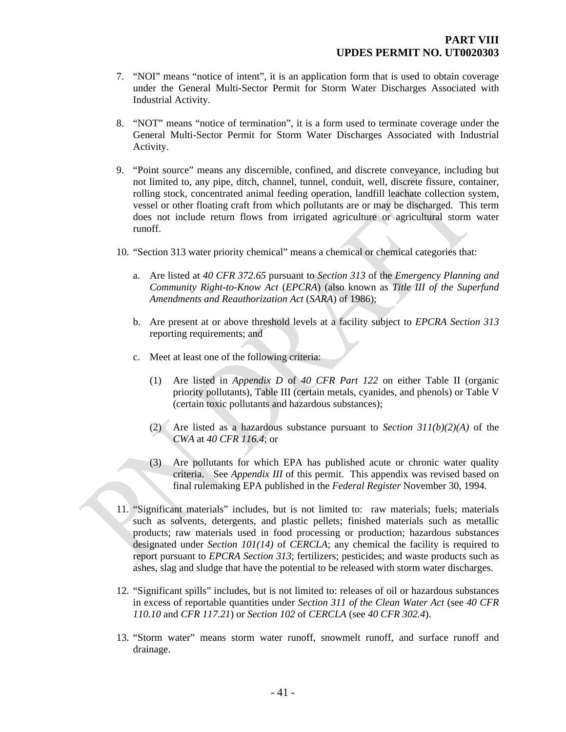- 7. "NOI" means "notice of intent", it is an application form that is used to obtain coverage under the General Multi-Sector Permit for Storm Water Discharges Associated with Industrial Activity.
- 8. "NOT" means "notice of termination", it is a form used to terminate coverage under the General Multi-Sector Permit for Storm Water Discharges Associated with Industrial Activity.
- 9. "Point source" means any discernible, confined, and discrete conveyance, including but not limited to, any pipe, ditch, channel, tunnel, conduit, well, discrete fissure, container, rolling stock, concentrated animal feeding operation, landfill leachate collection system, vessel or other floating craft from which pollutants are or may be discharged. This term does not include return flows from irrigated agriculture or agricultural storm water runoff.
- 10. "Section 313 water priority chemical" means a chemical or chemical categories that:
	- a. Are listed at *40 CFR 372.65* pursuant to *Section 313* of the *Emergency Planning and Community Right-to-Know Act* (*EPCRA*) (also known as *Title III of the Superfund Amendments and Reauthorization Act* (*SARA*) of 1986);
	- b. Are present at or above threshold levels at a facility subject to *EPCRA Section 313* reporting requirements; and
	- c. Meet at least one of the following criteria:
		- (1) Are listed in *Appendix D* of *40 CFR Part 122* on either Table II (organic priority pollutants), Table III (certain metals, cyanides, and phenols) or Table V (certain toxic pollutants and hazardous substances);
		- (2) Are listed as a hazardous substance pursuant to *Section 311(b)(2)(A)* of the *CWA* at *40 CFR 116.4*; or
		- (3) Are pollutants for which EPA has published acute or chronic water quality criteria. See *Appendix III* of this permit. This appendix was revised based on final rulemaking EPA published in the *Federal Register* November 30, 1994.
- 11. "Significant materials" includes, but is not limited to: raw materials; fuels; materials such as solvents, detergents, and plastic pellets; finished materials such as metallic products; raw materials used in food processing or production; hazardous substances designated under *Section 101(14)* of *CERCLA*; any chemical the facility is required to report pursuant to *EPCRA Section 313*; fertilizers; pesticides; and waste products such as ashes, slag and sludge that have the potential to be released with storm water discharges.
- 12. "Significant spills" includes, but is not limited to: releases of oil or hazardous substances in excess of reportable quantities under *Section 311 of the Clean Water Act* (see *40 CFR 110.10* and *CFR 117.21*) or *Section 102* of *CERCLA* (see *40 CFR 302.4*).
- 13. "Storm water" means storm water runoff, snowmelt runoff, and surface runoff and drainage.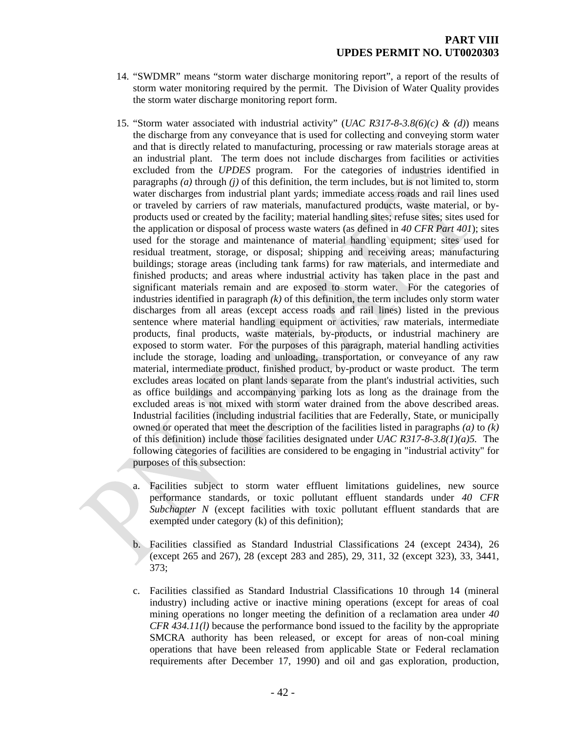- 14. "SWDMR" means "storm water discharge monitoring report", a report of the results of storm water monitoring required by the permit. The Division of Water Quality provides the storm water discharge monitoring report form.
- 15. "Storm water associated with industrial activity" (*UAC R317-8-3.8(6)(c) & (d)*) means the discharge from any conveyance that is used for collecting and conveying storm water and that is directly related to manufacturing, processing or raw materials storage areas at an industrial plant. The term does not include discharges from facilities or activities excluded from the *UPDES* program. For the categories of industries identified in paragraphs *(a)* through *(j)* of this definition, the term includes, but is not limited to, storm water discharges from industrial plant yards; immediate access roads and rail lines used or traveled by carriers of raw materials, manufactured products, waste material, or byproducts used or created by the facility; material handling sites; refuse sites; sites used for the application or disposal of process waste waters (as defined in *40 CFR Part 401*); sites used for the storage and maintenance of material handling equipment; sites used for residual treatment, storage, or disposal; shipping and receiving areas; manufacturing buildings; storage areas (including tank farms) for raw materials, and intermediate and finished products; and areas where industrial activity has taken place in the past and significant materials remain and are exposed to storm water. For the categories of industries identified in paragraph *(k)* of this definition, the term includes only storm water discharges from all areas (except access roads and rail lines) listed in the previous sentence where material handling equipment or activities, raw materials, intermediate products, final products, waste materials, by-products, or industrial machinery are exposed to storm water. For the purposes of this paragraph, material handling activities include the storage, loading and unloading, transportation, or conveyance of any raw material, intermediate product, finished product, by-product or waste product. The term excludes areas located on plant lands separate from the plant's industrial activities, such as office buildings and accompanying parking lots as long as the drainage from the excluded areas is not mixed with storm water drained from the above described areas. Industrial facilities (including industrial facilities that are Federally, State, or municipally owned or operated that meet the description of the facilities listed in paragraphs *(a)* to *(k)* of this definition) include those facilities designated under *UAC R317-8-3.8(1)(a)5.* The following categories of facilities are considered to be engaging in "industrial activity" for purposes of this subsection:
	- a. Facilities subject to storm water effluent limitations guidelines, new source performance standards, or toxic pollutant effluent standards under *40 CFR Subchapter N* (except facilities with toxic pollutant effluent standards that are exempted under category (k) of this definition);
	- b. Facilities classified as Standard Industrial Classifications 24 (except 2434), 26 (except 265 and 267), 28 (except 283 and 285), 29, 311, 32 (except 323), 33, 3441, 373;
	- c. Facilities classified as Standard Industrial Classifications 10 through 14 (mineral industry) including active or inactive mining operations (except for areas of coal mining operations no longer meeting the definition of a reclamation area under *40 CFR 434.11(l)* because the performance bond issued to the facility by the appropriate SMCRA authority has been released, or except for areas of non-coal mining operations that have been released from applicable State or Federal reclamation requirements after December 17, 1990) and oil and gas exploration, production,